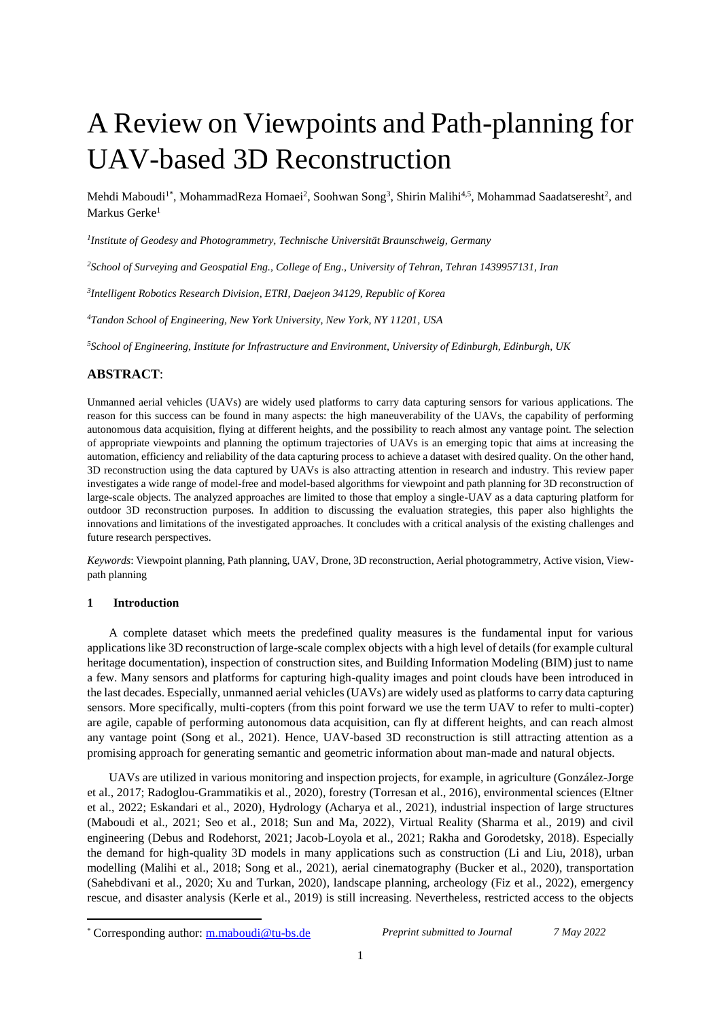# A Review on Viewpoints and Path-planning for UAV-based 3D Reconstruction

Mehdi Maboudi<sup>1\*</sup>, MohammadReza Homaei<sup>2</sup>, Soohwan Song<sup>3</sup>, Shirin Malihi<sup>4,5</sup>, Mohammad Saadatseresht<sup>2</sup>, and Markus Gerke<sup>1</sup>

*1 Institute of Geodesy and Photogrammetry, Technische Universität Braunschweig, Germany*

*<sup>2</sup>School of Surveying and Geospatial Eng., College of Eng., University of Tehran, Tehran 1439957131, Iran*

*3 Intelligent Robotics Research Division, ETRI, Daejeon 34129, Republic of Korea*

*<sup>4</sup>Tandon School of Engineering, New York University, New York, NY 11201, USA*

*<sup>5</sup>School of Engineering, Institute for Infrastructure and Environment, University of Edinburgh, Edinburgh, UK*

# **ABSTRACT**:

Unmanned aerial vehicles (UAVs) are widely used platforms to carry data capturing sensors for various applications. The reason for this success can be found in many aspects: the high maneuverability of the UAVs, the capability of performing autonomous data acquisition, flying at different heights, and the possibility to reach almost any vantage point. The selection of appropriate viewpoints and planning the optimum trajectories of UAVs is an emerging topic that aims at increasing the automation, efficiency and reliability of the data capturing process to achieve a dataset with desired quality. On the other hand, 3D reconstruction using the data captured by UAVs is also attracting attention in research and industry. This review paper investigates a wide range of model-free and model-based algorithms for viewpoint and path planning for 3D reconstruction of large-scale objects. The analyzed approaches are limited to those that employ a single-UAV as a data capturing platform for outdoor 3D reconstruction purposes. In addition to discussing the evaluation strategies, this paper also highlights the innovations and limitations of the investigated approaches. It concludes with a critical analysis of the existing challenges and future research perspectives.

*Keywords*: Viewpoint planning, Path planning, UAV, Drone, 3D reconstruction, Aerial photogrammetry, Active vision, Viewpath planning

# **1 Introduction**

**.** 

A complete dataset which meets the predefined quality measures is the fundamental input for various applications like 3D reconstruction of large-scale complex objects with a high level of details (for example cultural heritage documentation), inspection of construction sites, and Building Information Modeling (BIM) just to name a few. Many sensors and platforms for capturing high-quality images and point clouds have been introduced in the last decades. Especially, unmanned aerial vehicles (UAVs) are widely used as platforms to carry data capturing sensors. More specifically, multi-copters (from this point forward we use the term UAV to refer to multi-copter) are agile, capable of performing autonomous data acquisition, can fly at different heights, and can reach almost any vantage point (Song et al., 2021). Hence, UAV-based 3D reconstruction is still attracting attention as a promising approach for generating semantic and geometric information about man-made and natural objects.

UAVs are utilized in various monitoring and inspection projects, for example, in agriculture (González-Jorge et al., 2017; Radoglou-Grammatikis et al., 2020), forestry (Torresan et al., 2016), environmental sciences (Eltner et al., 2022; Eskandari et al., 2020), Hydrology (Acharya et al., 2021), industrial inspection of large structures (Maboudi et al., 2021; Seo et al., 2018; Sun and Ma, 2022), Virtual Reality (Sharma et al., 2019) and civil engineering (Debus and Rodehorst, 2021; Jacob-Loyola et al., 2021; Rakha and Gorodetsky, 2018). Especially the demand for high-quality 3D models in many applications such as construction (Li and Liu, 2018), urban modelling (Malihi et al., 2018; Song et al., 2021), aerial cinematography (Bucker et al., 2020), transportation (Sahebdivani et al., 2020; Xu and Turkan, 2020), landscape planning, archeology (Fiz et al., 2022), emergency rescue, and disaster analysis (Kerle et al., 2019) is still increasing. Nevertheless, restricted access to the objects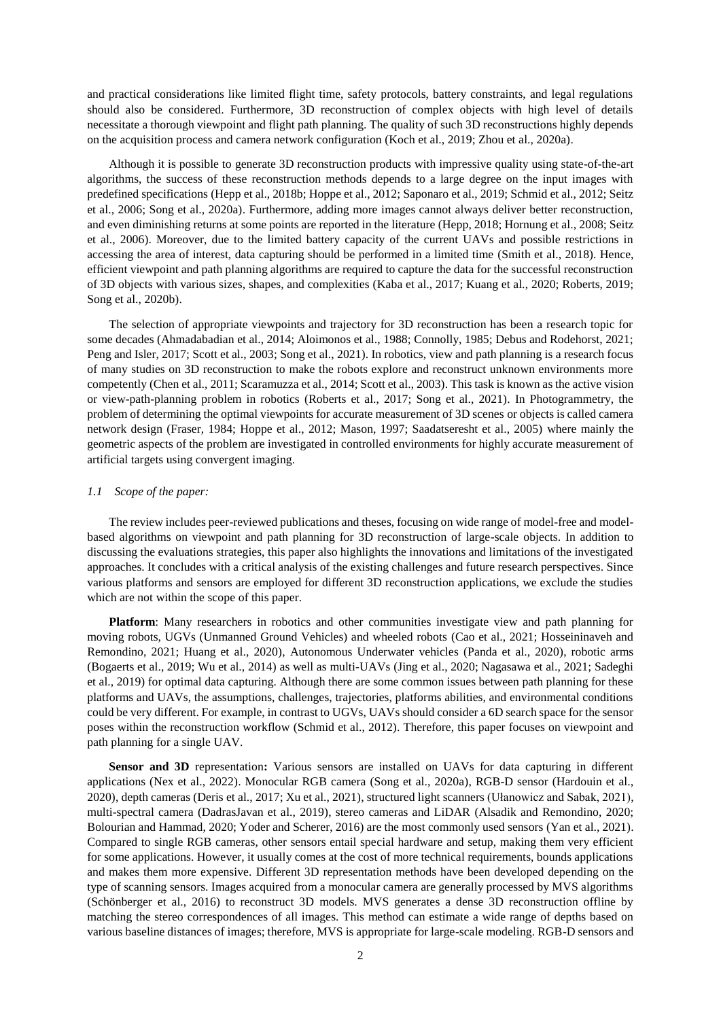and practical considerations like limited flight time, safety protocols, battery constraints, and legal regulations should also be considered. Furthermore, 3D reconstruction of complex objects with high level of details necessitate a thorough viewpoint and flight path planning. The quality of such 3D reconstructions highly depends on the acquisition process and camera network configuration (Koch et al., 2019; Zhou et al., 2020a).

Although it is possible to generate 3D reconstruction products with impressive quality using state-of-the-art algorithms, the success of these reconstruction methods depends to a large degree on the input images with predefined specifications (Hepp et al., 2018b; Hoppe et al., 2012; Saponaro et al., 2019; Schmid et al., 2012; Seitz et al., 2006; Song et al., 2020a). Furthermore, adding more images cannot always deliver better reconstruction, and even diminishing returns at some points are reported in the literature (Hepp, 2018; Hornung et al., 2008; Seitz et al., 2006). Moreover, due to the limited battery capacity of the current UAVs and possible restrictions in accessing the area of interest, data capturing should be performed in a limited time (Smith et al., 2018). Hence, efficient viewpoint and path planning algorithms are required to capture the data for the successful reconstruction of 3D objects with various sizes, shapes, and complexities (Kaba et al., 2017; Kuang et al., 2020; Roberts, 2019; Song et al., 2020b).

The selection of appropriate viewpoints and trajectory for 3D reconstruction has been a research topic for some decades (Ahmadabadian et al., 2014; Aloimonos et al., 1988; Connolly, 1985; Debus and Rodehorst, 2021; Peng and Isler, 2017; Scott et al., 2003; Song et al., 2021). In robotics, view and path planning is a research focus of many studies on 3D reconstruction to make the robots explore and reconstruct unknown environments more competently (Chen et al., 2011; Scaramuzza et al., 2014; Scott et al., 2003). This task is known as the active vision or view-path-planning problem in robotics (Roberts et al., 2017; Song et al., 2021). In Photogrammetry, the problem of determining the optimal viewpoints for accurate measurement of 3D scenes or objects is called camera network design (Fraser, 1984; Hoppe et al., 2012; Mason, 1997; Saadatseresht et al., 2005) where mainly the geometric aspects of the problem are investigated in controlled environments for highly accurate measurement of artificial targets using convergent imaging.

#### *1.1 Scope of the paper:*

The review includes peer-reviewed publications and theses, focusing on wide range of model-free and modelbased algorithms on viewpoint and path planning for 3D reconstruction of large-scale objects. In addition to discussing the evaluations strategies, this paper also highlights the innovations and limitations of the investigated approaches. It concludes with a critical analysis of the existing challenges and future research perspectives. Since various platforms and sensors are employed for different 3D reconstruction applications, we exclude the studies which are not within the scope of this paper.

**Platform**: Many researchers in robotics and other communities investigate view and path planning for moving robots, UGVs (Unmanned Ground Vehicles) and wheeled robots (Cao et al., 2021; Hosseininaveh and Remondino, 2021; Huang et al., 2020), Autonomous Underwater vehicles (Panda et al., 2020), robotic arms (Bogaerts et al., 2019; Wu et al., 2014) as well as multi-UAVs (Jing et al., 2020; Nagasawa et al., 2021; Sadeghi et al., 2019) for optimal data capturing. Although there are some common issues between path planning for these platforms and UAVs, the assumptions, challenges, trajectories, platforms abilities, and environmental conditions could be very different. For example, in contrast to UGVs, UAVs should consider a 6D search space for the sensor poses within the reconstruction workflow (Schmid et al., 2012). Therefore, this paper focuses on viewpoint and path planning for a single UAV.

**Sensor and 3D** representation**:** Various sensors are installed on UAVs for data capturing in different applications (Nex et al., 2022). Monocular RGB camera (Song et al., 2020a), RGB-D sensor (Hardouin et al., 2020), depth cameras (Deris et al., 2017; Xu et al., 2021), structured light scanners (Ułanowicz and Sabak, 2021), multi-spectral camera (DadrasJavan et al., 2019), stereo cameras and LiDAR (Alsadik and Remondino, 2020; Bolourian and Hammad, 2020; Yoder and Scherer, 2016) are the most commonly used sensors (Yan et al., 2021). Compared to single RGB cameras, other sensors entail special hardware and setup, making them very efficient for some applications. However, it usually comes at the cost of more technical requirements, bounds applications and makes them more expensive. Different 3D representation methods have been developed depending on the type of scanning sensors. Images acquired from a monocular camera are generally processed by MVS algorithms (Schönberger et al., 2016) to reconstruct 3D models. MVS generates a dense 3D reconstruction offline by matching the stereo correspondences of all images. This method can estimate a wide range of depths based on various baseline distances of images; therefore, MVS is appropriate for large-scale modeling. RGB-D sensors and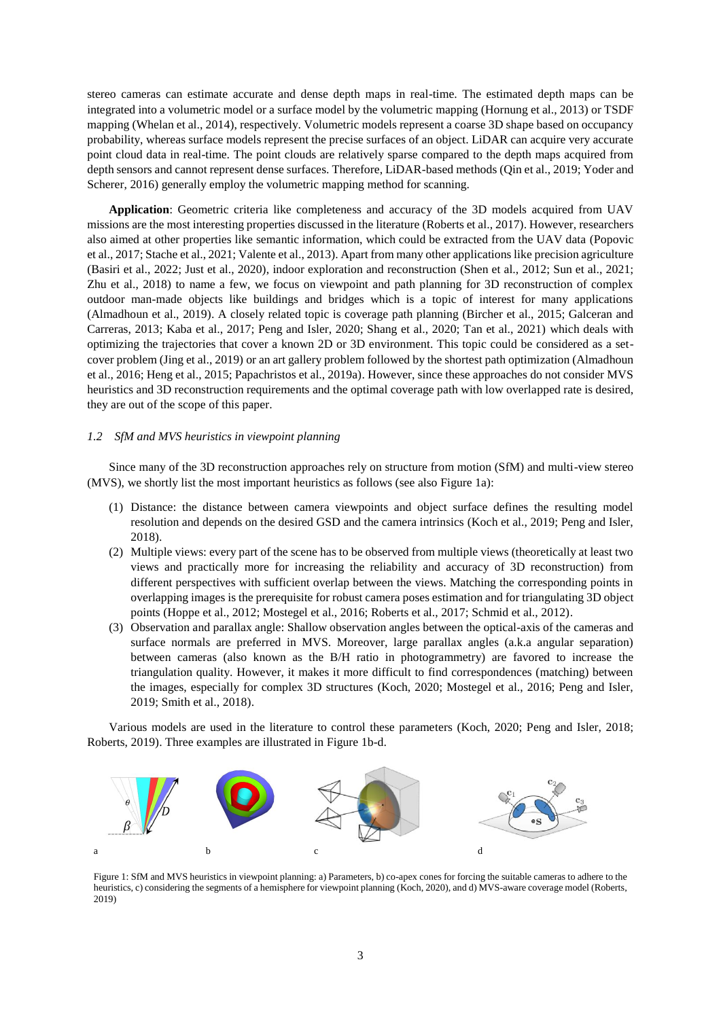stereo cameras can estimate accurate and dense depth maps in real-time. The estimated depth maps can be integrated into a volumetric model or a surface model by the volumetric mapping (Hornung et al., 2013) or TSDF mapping (Whelan et al., 2014), respectively. Volumetric models represent a coarse 3D shape based on occupancy probability, whereas surface models represent the precise surfaces of an object. LiDAR can acquire very accurate point cloud data in real-time. The point clouds are relatively sparse compared to the depth maps acquired from depth sensors and cannot represent dense surfaces. Therefore, LiDAR-based methods (Qin et al., 2019; Yoder and Scherer, 2016) generally employ the volumetric mapping method for scanning.

**Application**: Geometric criteria like completeness and accuracy of the 3D models acquired from UAV missions are the most interesting properties discussed in the literature (Roberts et al., 2017). However, researchers also aimed at other properties like semantic information, which could be extracted from the UAV data (Popovic et al., 2017; Stache et al., 2021; Valente et al., 2013). Apart from many other applications like precision agriculture (Basiri et al., 2022; Just et al., 2020), indoor exploration and reconstruction (Shen et al., 2012; Sun et al., 2021; Zhu et al., 2018) to name a few, we focus on viewpoint and path planning for 3D reconstruction of complex outdoor man-made objects like buildings and bridges which is a topic of interest for many applications (Almadhoun et al., 2019). A closely related topic is coverage path planning (Bircher et al., 2015; Galceran and Carreras, 2013; Kaba et al., 2017; Peng and Isler, 2020; Shang et al., 2020; Tan et al., 2021) which deals with optimizing the trajectories that cover a known 2D or 3D environment. This topic could be considered as a setcover problem (Jing et al., 2019) or an art gallery problem followed by the shortest path optimization (Almadhoun et al., 2016; Heng et al., 2015; Papachristos et al., 2019a). However, since these approaches do not consider MVS heuristics and 3D reconstruction requirements and the optimal coverage path with low overlapped rate is desired, they are out of the scope of this paper.

# <span id="page-2-1"></span>*1.2 SfM and MVS heuristics in viewpoint planning*

Since many of the 3D reconstruction approaches rely on structure from motion (SfM) and multi-view stereo (MVS), we shortly list the most important heuristics as follows (see also [Figure 1a](#page-2-0)):

- (1) Distance: the distance between camera viewpoints and object surface defines the resulting model resolution and depends on the desired GSD and the camera intrinsics (Koch et al., 2019; Peng and Isler, 2018).
- (2) Multiple views: every part of the scene has to be observed from multiple views (theoretically at least two views and practically more for increasing the reliability and accuracy of 3D reconstruction) from different perspectives with sufficient overlap between the views. Matching the corresponding points in overlapping images is the prerequisite for robust camera poses estimation and for triangulating 3D object points (Hoppe et al., 2012; Mostegel et al., 2016; Roberts et al., 2017; Schmid et al., 2012).
- (3) Observation and parallax angle: Shallow observation angles between the optical-axis of the cameras and surface normals are preferred in MVS. Moreover, large parallax angles (a.k.a angular separation) between cameras (also known as the B/H ratio in photogrammetry) are favored to increase the triangulation quality. However, it makes it more difficult to find correspondences (matching) between the images, especially for complex 3D structures (Koch, 2020; Mostegel et al., 2016; Peng and Isler, 2019; Smith et al., 2018).

Various models are used in the literature to control these parameters (Koch, 2020; Peng and Isler, 2018; Roberts, 2019). Three examples are illustrated in [Figure 1b](#page-2-0)-d.



<span id="page-2-0"></span>Figure 1: SfM and MVS heuristics in viewpoint planning: a) Parameters, b) co-apex cones for forcing the suitable cameras to adhere to the heuristics, c) considering the segments of a hemisphere for viewpoint planning (Koch, 2020), and d) MVS-aware coverage model (Roberts, 2019)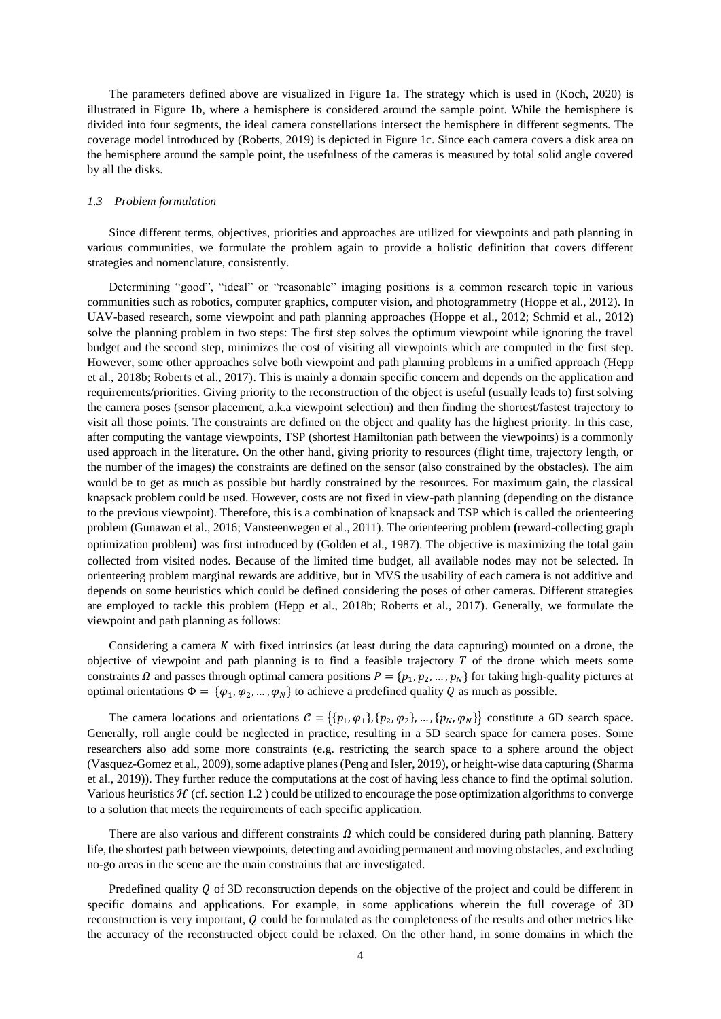The parameters defined above are visualized in [Figure 1a](#page-2-0). The strategy which is used in (Koch, 2020) is illustrated in [Figure 1b](#page-2-0), where a hemisphere is considered around the sample point. While the hemisphere is divided into four segments, the ideal camera constellations intersect the hemisphere in different segments. The coverage model introduced by (Roberts, 2019) is depicted in [Figure 1c](#page-2-0). Since each camera covers a disk area on the hemisphere around the sample point, the usefulness of the cameras is measured by total solid angle covered by all the disks.

#### *1.3 Problem formulation*

Since different terms, objectives, priorities and approaches are utilized for viewpoints and path planning in various communities, we formulate the problem again to provide a holistic definition that covers different strategies and nomenclature, consistently.

Determining "good", "ideal" or "reasonable" imaging positions is a common research topic in various communities such as robotics, computer graphics, computer vision, and photogrammetry (Hoppe et al., 2012). In UAV-based research, some viewpoint and path planning approaches (Hoppe et al., 2012; Schmid et al., 2012) solve the planning problem in two steps: The first step solves the optimum viewpoint while ignoring the travel budget and the second step, minimizes the cost of visiting all viewpoints which are computed in the first step. However, some other approaches solve both viewpoint and path planning problems in a unified approach (Hepp et al., 2018b; Roberts et al., 2017). This is mainly a domain specific concern and depends on the application and requirements/priorities. Giving priority to the reconstruction of the object is useful (usually leads to) first solving the camera poses (sensor placement, a.k.a viewpoint selection) and then finding the shortest/fastest trajectory to visit all those points. The constraints are defined on the object and quality has the highest priority. In this case, after computing the vantage viewpoints, TSP (shortest Hamiltonian path between the viewpoints) is a commonly used approach in the literature. On the other hand, giving priority to resources (flight time, trajectory length, or the number of the images) the constraints are defined on the sensor (also constrained by the obstacles). The aim would be to get as much as possible but hardly constrained by the resources. For maximum gain, the classical knapsack problem could be used. However, costs are not fixed in view-path planning (depending on the distance to the previous viewpoint). Therefore, this is a combination of knapsack and TSP which is called the orienteering problem (Gunawan et al., 2016; Vansteenwegen et al., 2011). The orienteering problem **(**reward-collecting graph optimization problem) was first introduced by (Golden et al., 1987). The objective is maximizing the total gain collected from visited nodes. Because of the limited time budget, all available nodes may not be selected. In orienteering problem marginal rewards are additive, but in MVS the usability of each camera is not additive and depends on some heuristics which could be defined considering the poses of other cameras. Different strategies are employed to tackle this problem (Hepp et al., 2018b; Roberts et al., 2017). Generally, we formulate the viewpoint and path planning as follows:

Considering a camera  $K$  with fixed intrinsics (at least during the data capturing) mounted on a drone, the objective of viewpoint and path planning is to find a feasible trajectory  $T$  of the drone which meets some constraints  $\Omega$  and passes through optimal camera positions  $P = \{p_1, p_2, ..., p_N\}$  for taking high-quality pictures at optimal orientations  $\Phi = {\varphi_1, \varphi_2, ..., \varphi_N}$  to achieve a predefined quality Q as much as possible.

The camera locations and orientations  $C = \{\{p_1, \varphi_1\}, \{p_2, \varphi_2\}, \dots, \{p_N, \varphi_N\}\}$  constitute a 6D search space. Generally, roll angle could be neglected in practice, resulting in a 5D search space for camera poses. Some researchers also add some more constraints (e.g. restricting the search space to a sphere around the object (Vasquez-Gomez et al., 2009), some adaptive planes (Peng and Isler, 2019), or height-wise data capturing (Sharma et al., 2019)). They further reduce the computations at the cost of having less chance to find the optimal solution. Various heuristics  $\mathcal H$  (cf. section [1.2](#page-2-1)) could be utilized to encourage the pose optimization algorithms to converge to a solution that meets the requirements of each specific application.

There are also various and different constraints  $\Omega$  which could be considered during path planning. Battery life, the shortest path between viewpoints, detecting and avoiding permanent and moving obstacles, and excluding no-go areas in the scene are the main constraints that are investigated.

Predefined quality  $Q$  of 3D reconstruction depends on the objective of the project and could be different in specific domains and applications. For example, in some applications wherein the full coverage of 3D reconstruction is very important,  $Q$  could be formulated as the completeness of the results and other metrics like the accuracy of the reconstructed object could be relaxed. On the other hand, in some domains in which the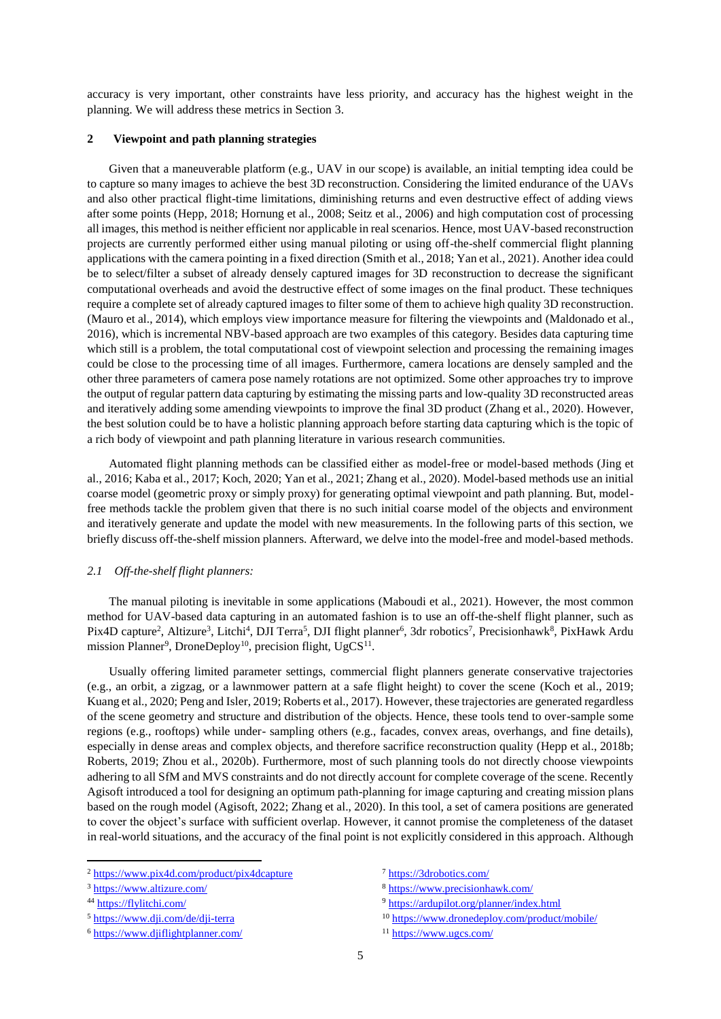accuracy is very important, other constraints have less priority, and accuracy has the highest weight in the planning. We will address these metrics in Section [3.](#page-16-0)

# **2 Viewpoint and path planning strategies**

Given that a maneuverable platform (e.g., UAV in our scope) is available, an initial tempting idea could be to capture so many images to achieve the best 3D reconstruction. Considering the limited endurance of the UAVs and also other practical flight-time limitations, diminishing returns and even destructive effect of adding views after some points (Hepp, 2018; Hornung et al., 2008; Seitz et al., 2006) and high computation cost of processing all images, this method is neither efficient nor applicable in real scenarios. Hence, most UAV-based reconstruction projects are currently performed either using manual piloting or using off-the-shelf commercial flight planning applications with the camera pointing in a fixed direction (Smith et al., 2018; Yan et al., 2021). Another idea could be to select/filter a subset of already densely captured images for 3D reconstruction to decrease the significant computational overheads and avoid the destructive effect of some images on the final product. These techniques require a complete set of already captured images to filter some of them to achieve high quality 3D reconstruction. (Mauro et al., 2014), which employs view importance measure for filtering the viewpoints and (Maldonado et al., 2016), which is incremental NBV-based approach are two examples of this category. Besides data capturing time which still is a problem, the total computational cost of viewpoint selection and processing the remaining images could be close to the processing time of all images. Furthermore, camera locations are densely sampled and the other three parameters of camera pose namely rotations are not optimized. Some other approaches try to improve the output of regular pattern data capturing by estimating the missing parts and low-quality 3D reconstructed areas and iteratively adding some amending viewpoints to improve the final 3D product (Zhang et al., 2020). However, the best solution could be to have a holistic planning approach before starting data capturing which is the topic of a rich body of viewpoint and path planning literature in various research communities.

Automated flight planning methods can be classified either as model-free or model-based methods (Jing et al., 2016; Kaba et al., 2017; Koch, 2020; Yan et al., 2021; Zhang et al., 2020). Model-based methods use an initial coarse model (geometric proxy or simply proxy) for generating optimal viewpoint and path planning. But, modelfree methods tackle the problem given that there is no such initial coarse model of the objects and environment and iteratively generate and update the model with new measurements. In the following parts of this section, we briefly discuss off-the-shelf mission planners. Afterward, we delve into the model-free and model-based methods.

## *2.1 Off-the-shelf flight planners:*

The manual piloting is inevitable in some applications (Maboudi et al., 2021). However, the most common method for UAV-based data capturing in an automated fashion is to use an off-the-shelf flight planner, such as Pix4D capture<sup>2</sup>, Altizure<sup>3</sup>, Litchi<sup>4</sup>, DJI Terra<sup>5</sup>, DJI flight planner<sup>6</sup>, 3dr robotics<sup>7</sup>, Precisionhawk<sup>8</sup>, PixHawk Ardu mission Planner<sup>9</sup>, DroneDeploy<sup>10</sup>, precision flight, UgCS<sup>11</sup>.

Usually offering limited parameter settings, commercial flight planners generate conservative trajectories (e.g., an orbit, a zigzag, or a lawnmower pattern at a safe flight height) to cover the scene (Koch et al., 2019; Kuang et al., 2020; Peng and Isler, 2019; Roberts et al., 2017). However, these trajectories are generated regardless of the scene geometry and structure and distribution of the objects. Hence, these tools tend to over-sample some regions (e.g., rooftops) while under- sampling others (e.g., facades, convex areas, overhangs, and fine details), especially in dense areas and complex objects, and therefore sacrifice reconstruction quality (Hepp et al., 2018b; Roberts, 2019; Zhou et al., 2020b). Furthermore, most of such planning tools do not directly choose viewpoints adhering to all SfM and MVS constraints and do not directly account for complete coverage of the scene. Recently Agisoft introduced a tool for designing an optimum path-planning for image capturing and creating mission plans based on the rough model (Agisoft, 2022; Zhang et al., 2020). In this tool, a set of camera positions are generated to cover the object's surface with sufficient overlap. However, it cannot promise the completeness of the dataset in real-world situations, and the accuracy of the final point is not explicitly considered in this approach. Although

**.** 

<sup>5</sup> <https://www.dji.com/de/dji-terra>

<sup>2</sup> <https://www.pix4d.com/product/pix4dcapture>

<sup>3</sup> <https://www.altizure.com/>

<sup>44</sup> <https://flylitchi.com/>

<sup>6</sup> <https://www.djiflightplanner.com/>

<sup>7</sup> <https://3drobotics.com/>

<sup>8</sup> <https://www.precisionhawk.com/>

<sup>9</sup> <https://ardupilot.org/planner/index.html>

<sup>10</sup> <https://www.dronedeploy.com/product/mobile/> <sup>11</sup> <https://www.ugcs.com/>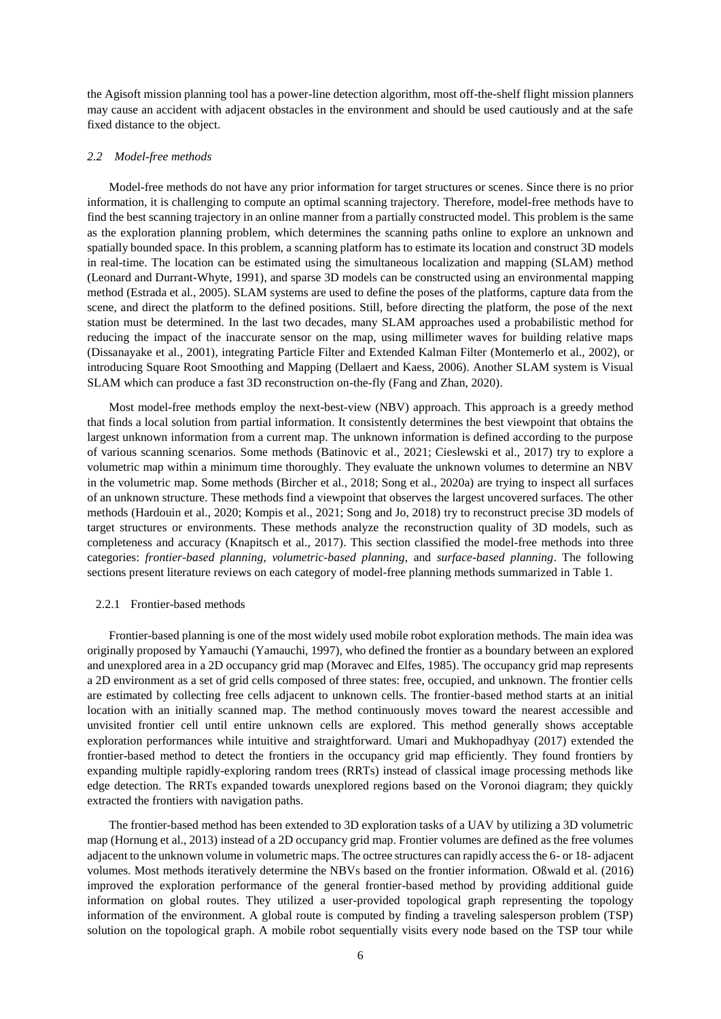the Agisoft mission planning tool has a power-line detection algorithm, most off-the-shelf flight mission planners may cause an accident with adjacent obstacles in the environment and should be used cautiously and at the safe fixed distance to the object.

## *2.2 Model-free methods*

Model-free methods do not have any prior information for target structures or scenes. Since there is no prior information, it is challenging to compute an optimal scanning trajectory. Therefore, model-free methods have to find the best scanning trajectory in an online manner from a partially constructed model. This problem is the same as the exploration planning problem, which determines the scanning paths online to explore an unknown and spatially bounded space. In this problem, a scanning platform has to estimate its location and construct 3D models in real-time. The location can be estimated using the simultaneous localization and mapping (SLAM) method (Leonard and Durrant-Whyte, 1991), and sparse 3D models can be constructed using an environmental mapping method (Estrada et al., 2005). SLAM systems are used to define the poses of the platforms, capture data from the scene, and direct the platform to the defined positions. Still, before directing the platform, the pose of the next station must be determined. In the last two decades, many SLAM approaches used a probabilistic method for reducing the impact of the inaccurate sensor on the map, using millimeter waves for building relative maps (Dissanayake et al., 2001), integrating Particle Filter and Extended Kalman Filter (Montemerlo et al., 2002), or introducing Square Root Smoothing and Mapping (Dellaert and Kaess, 2006). Another SLAM system is Visual SLAM which can produce a fast 3D reconstruction on-the-fly (Fang and Zhan, 2020).

Most model-free methods employ the next-best-view (NBV) approach. This approach is a greedy method that finds a local solution from partial information. It consistently determines the best viewpoint that obtains the largest unknown information from a current map. The unknown information is defined according to the purpose of various scanning scenarios. Some methods (Batinovic et al., 2021; Cieslewski et al., 2017) try to explore a volumetric map within a minimum time thoroughly. They evaluate the unknown volumes to determine an NBV in the volumetric map. Some methods (Bircher et al., 2018; Song et al., 2020a) are trying to inspect all surfaces of an unknown structure. These methods find a viewpoint that observes the largest uncovered surfaces. The other methods (Hardouin et al., 2020; Kompis et al., 2021; Song and Jo, 2018) try to reconstruct precise 3D models of target structures or environments. These methods analyze the reconstruction quality of 3D models, such as completeness and accuracy (Knapitsch et al., 2017). This section classified the model-free methods into three categories: *frontier-based planning*, *volumetric-based planning*, and *surface-based planning*. The following sections present literature reviews on each category of model-free planning methods summarized in [Table 1.](#page-9-0)

# 2.2.1 Frontier-based methods

Frontier-based planning is one of the most widely used mobile robot exploration methods. The main idea was originally proposed by Yamauchi (Yamauchi, 1997), who defined the frontier as a boundary between an explored and unexplored area in a 2D occupancy grid map (Moravec and Elfes, 1985). The occupancy grid map represents a 2D environment as a set of grid cells composed of three states: free, occupied, and unknown. The frontier cells are estimated by collecting free cells adjacent to unknown cells. The frontier-based method starts at an initial location with an initially scanned map. The method continuously moves toward the nearest accessible and unvisited frontier cell until entire unknown cells are explored. This method generally shows acceptable exploration performances while intuitive and straightforward. Umari and Mukhopadhyay (2017) extended the frontier-based method to detect the frontiers in the occupancy grid map efficiently. They found frontiers by expanding multiple rapidly-exploring random trees (RRTs) instead of classical image processing methods like edge detection. The RRTs expanded towards unexplored regions based on the Voronoi diagram; they quickly extracted the frontiers with navigation paths.

The frontier-based method has been extended to 3D exploration tasks of a UAV by utilizing a 3D volumetric map (Hornung et al., 2013) instead of a 2D occupancy grid map. Frontier volumes are defined as the free volumes adjacent to the unknown volume in volumetric maps. The octree structures can rapidly access the 6- or 18- adjacent volumes. Most methods iteratively determine the NBVs based on the frontier information. Oßwald et al. (2016) improved the exploration performance of the general frontier-based method by providing additional guide information on global routes. They utilized a user-provided topological graph representing the topology information of the environment. A global route is computed by finding a traveling salesperson problem (TSP) solution on the topological graph. A mobile robot sequentially visits every node based on the TSP tour while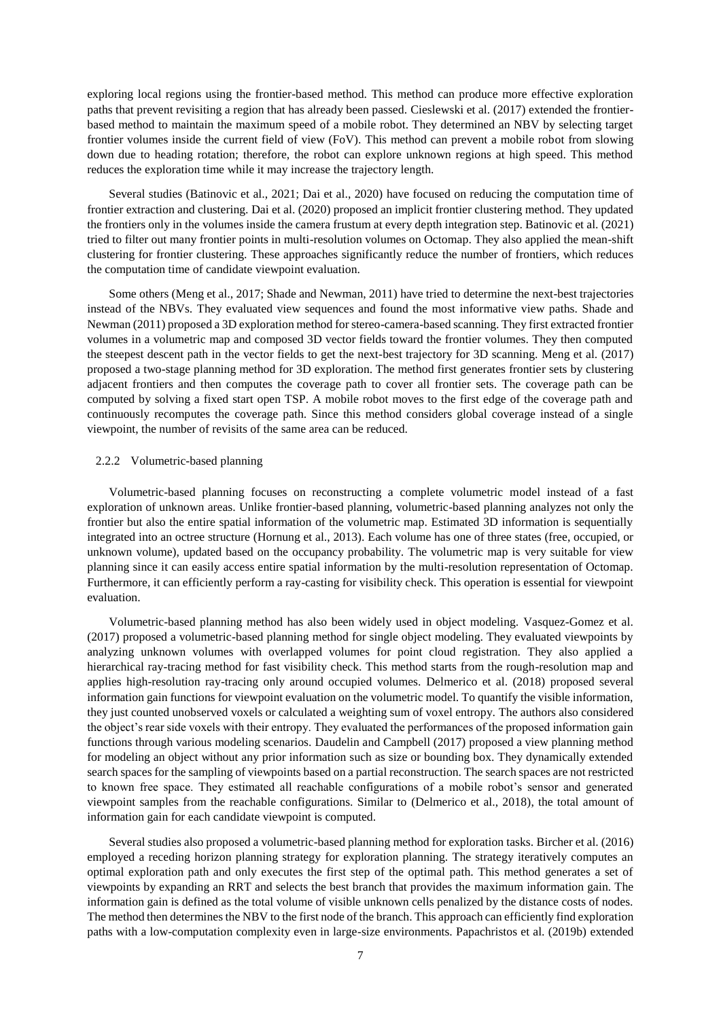exploring local regions using the frontier-based method. This method can produce more effective exploration paths that prevent revisiting a region that has already been passed. Cieslewski et al. (2017) extended the frontierbased method to maintain the maximum speed of a mobile robot. They determined an NBV by selecting target frontier volumes inside the current field of view (FoV). This method can prevent a mobile robot from slowing down due to heading rotation; therefore, the robot can explore unknown regions at high speed. This method reduces the exploration time while it may increase the trajectory length.

Several studies (Batinovic et al., 2021; Dai et al., 2020) have focused on reducing the computation time of frontier extraction and clustering. Dai et al. (2020) proposed an implicit frontier clustering method. They updated the frontiers only in the volumes inside the camera frustum at every depth integration step. Batinovic et al. (2021) tried to filter out many frontier points in multi-resolution volumes on Octomap. They also applied the mean-shift clustering for frontier clustering. These approaches significantly reduce the number of frontiers, which reduces the computation time of candidate viewpoint evaluation.

Some others (Meng et al., 2017; Shade and Newman, 2011) have tried to determine the next-best trajectories instead of the NBVs. They evaluated view sequences and found the most informative view paths. Shade and Newman (2011) proposed a 3D exploration method for stereo-camera-based scanning. They first extracted frontier volumes in a volumetric map and composed 3D vector fields toward the frontier volumes. They then computed the steepest descent path in the vector fields to get the next-best trajectory for 3D scanning. Meng et al. (2017) proposed a two-stage planning method for 3D exploration. The method first generates frontier sets by clustering adjacent frontiers and then computes the coverage path to cover all frontier sets. The coverage path can be computed by solving a fixed start open TSP. A mobile robot moves to the first edge of the coverage path and continuously recomputes the coverage path. Since this method considers global coverage instead of a single viewpoint, the number of revisits of the same area can be reduced.

# 2.2.2 Volumetric-based planning

Volumetric-based planning focuses on reconstructing a complete volumetric model instead of a fast exploration of unknown areas. Unlike frontier-based planning, volumetric-based planning analyzes not only the frontier but also the entire spatial information of the volumetric map. Estimated 3D information is sequentially integrated into an octree structure (Hornung et al., 2013). Each volume has one of three states (free, occupied, or unknown volume), updated based on the occupancy probability. The volumetric map is very suitable for view planning since it can easily access entire spatial information by the multi-resolution representation of Octomap. Furthermore, it can efficiently perform a ray-casting for visibility check. This operation is essential for viewpoint evaluation.

Volumetric-based planning method has also been widely used in object modeling. Vasquez-Gomez et al. (2017) proposed a volumetric-based planning method for single object modeling. They evaluated viewpoints by analyzing unknown volumes with overlapped volumes for point cloud registration. They also applied a hierarchical ray-tracing method for fast visibility check. This method starts from the rough-resolution map and applies high-resolution ray-tracing only around occupied volumes. Delmerico et al. (2018) proposed several information gain functions for viewpoint evaluation on the volumetric model. To quantify the visible information, they just counted unobserved voxels or calculated a weighting sum of voxel entropy. The authors also considered the object's rear side voxels with their entropy. They evaluated the performances of the proposed information gain functions through various modeling scenarios. Daudelin and Campbell (2017) proposed a view planning method for modeling an object without any prior information such as size or bounding box. They dynamically extended search spaces for the sampling of viewpoints based on a partial reconstruction. The search spaces are not restricted to known free space. They estimated all reachable configurations of a mobile robot's sensor and generated viewpoint samples from the reachable configurations. Similar to (Delmerico et al., 2018), the total amount of information gain for each candidate viewpoint is computed.

Several studies also proposed a volumetric-based planning method for exploration tasks. Bircher et al. (2016) employed a receding horizon planning strategy for exploration planning. The strategy iteratively computes an optimal exploration path and only executes the first step of the optimal path. This method generates a set of viewpoints by expanding an RRT and selects the best branch that provides the maximum information gain. The information gain is defined as the total volume of visible unknown cells penalized by the distance costs of nodes. The method then determines the NBV to the first node of the branch. This approach can efficiently find exploration paths with a low-computation complexity even in large-size environments. Papachristos et al. (2019b) extended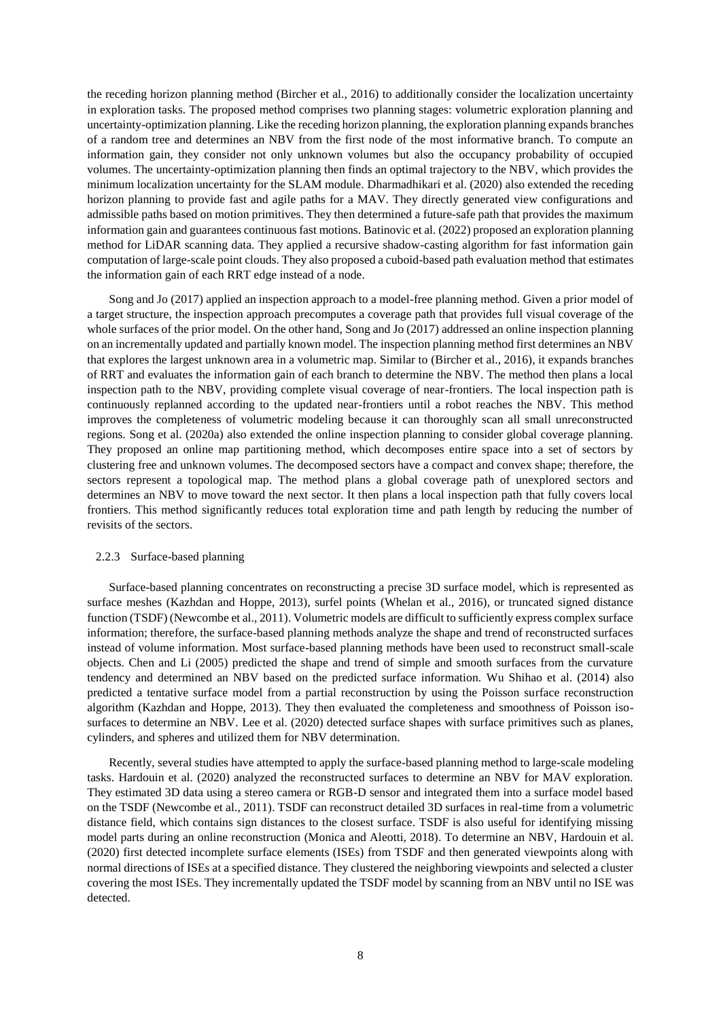the receding horizon planning method (Bircher et al., 2016) to additionally consider the localization uncertainty in exploration tasks. The proposed method comprises two planning stages: volumetric exploration planning and uncertainty-optimization planning. Like the receding horizon planning, the exploration planning expands branches of a random tree and determines an NBV from the first node of the most informative branch. To compute an information gain, they consider not only unknown volumes but also the occupancy probability of occupied volumes. The uncertainty-optimization planning then finds an optimal trajectory to the NBV, which provides the minimum localization uncertainty for the SLAM module. Dharmadhikari et al. (2020) also extended the receding horizon planning to provide fast and agile paths for a MAV. They directly generated view configurations and admissible paths based on motion primitives. They then determined a future-safe path that provides the maximum information gain and guarantees continuous fast motions. Batinovic et al. (2022) proposed an exploration planning method for LiDAR scanning data. They applied a recursive shadow-casting algorithm for fast information gain computation of large-scale point clouds. They also proposed a cuboid-based path evaluation method that estimates the information gain of each RRT edge instead of a node.

Song and Jo (2017) applied an inspection approach to a model-free planning method. Given a prior model of a target structure, the inspection approach precomputes a coverage path that provides full visual coverage of the whole surfaces of the prior model. On the other hand, Song and Jo (2017) addressed an online inspection planning on an incrementally updated and partially known model. The inspection planning method first determines an NBV that explores the largest unknown area in a volumetric map. Similar to (Bircher et al., 2016), it expands branches of RRT and evaluates the information gain of each branch to determine the NBV. The method then plans a local inspection path to the NBV, providing complete visual coverage of near-frontiers. The local inspection path is continuously replanned according to the updated near-frontiers until a robot reaches the NBV. This method improves the completeness of volumetric modeling because it can thoroughly scan all small unreconstructed regions. Song et al. (2020a) also extended the online inspection planning to consider global coverage planning. They proposed an online map partitioning method, which decomposes entire space into a set of sectors by clustering free and unknown volumes. The decomposed sectors have a compact and convex shape; therefore, the sectors represent a topological map. The method plans a global coverage path of unexplored sectors and determines an NBV to move toward the next sector. It then plans a local inspection path that fully covers local frontiers. This method significantly reduces total exploration time and path length by reducing the number of revisits of the sectors.

# 2.2.3 Surface-based planning

Surface-based planning concentrates on reconstructing a precise 3D surface model, which is represented as surface meshes (Kazhdan and Hoppe, 2013), surfel points (Whelan et al., 2016), or truncated signed distance function (TSDF) (Newcombe et al., 2011). Volumetric models are difficult to sufficiently express complex surface information; therefore, the surface-based planning methods analyze the shape and trend of reconstructed surfaces instead of volume information. Most surface-based planning methods have been used to reconstruct small-scale objects. Chen and Li (2005) predicted the shape and trend of simple and smooth surfaces from the curvature tendency and determined an NBV based on the predicted surface information. Wu Shihao et al. (2014) also predicted a tentative surface model from a partial reconstruction by using the Poisson surface reconstruction algorithm (Kazhdan and Hoppe, 2013). They then evaluated the completeness and smoothness of Poisson isosurfaces to determine an NBV. Lee et al. (2020) detected surface shapes with surface primitives such as planes, cylinders, and spheres and utilized them for NBV determination.

Recently, several studies have attempted to apply the surface-based planning method to large-scale modeling tasks. Hardouin et al. (2020) analyzed the reconstructed surfaces to determine an NBV for MAV exploration. They estimated 3D data using a stereo camera or RGB-D sensor and integrated them into a surface model based on the TSDF (Newcombe et al., 2011). TSDF can reconstruct detailed 3D surfaces in real-time from a volumetric distance field, which contains sign distances to the closest surface. TSDF is also useful for identifying missing model parts during an online reconstruction (Monica and Aleotti, 2018). To determine an NBV, Hardouin et al. (2020) first detected incomplete surface elements (ISEs) from TSDF and then generated viewpoints along with normal directions of ISEs at a specified distance. They clustered the neighboring viewpoints and selected a cluster covering the most ISEs. They incrementally updated the TSDF model by scanning from an NBV until no ISE was detected.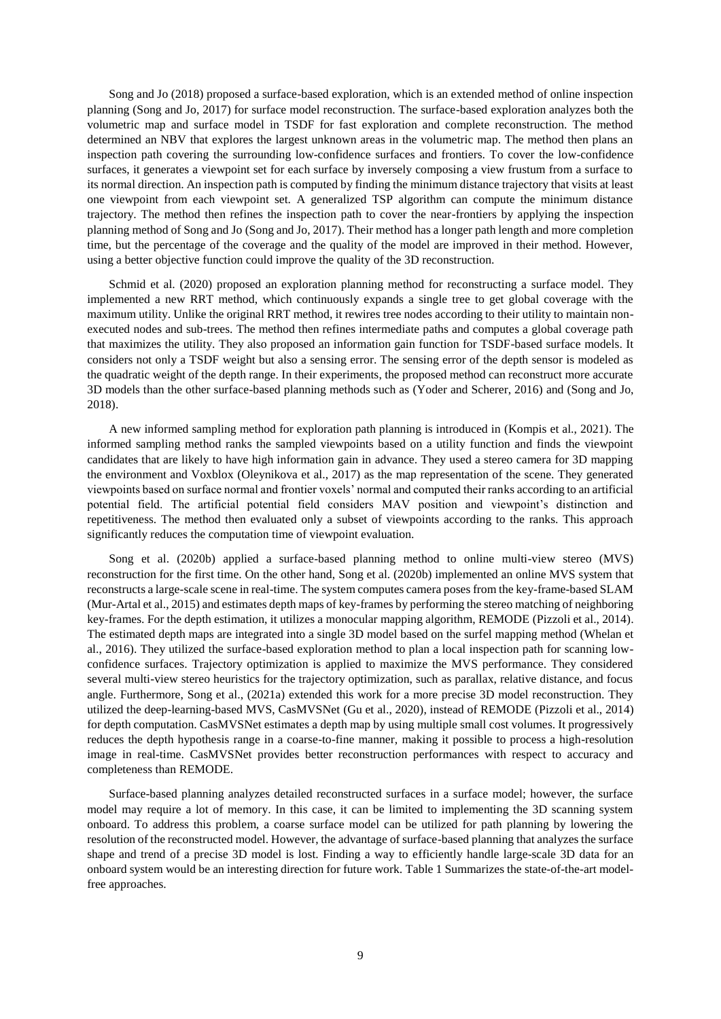Song and Jo (2018) proposed a surface-based exploration, which is an extended method of online inspection planning (Song and Jo, 2017) for surface model reconstruction. The surface-based exploration analyzes both the volumetric map and surface model in TSDF for fast exploration and complete reconstruction. The method determined an NBV that explores the largest unknown areas in the volumetric map. The method then plans an inspection path covering the surrounding low-confidence surfaces and frontiers. To cover the low-confidence surfaces, it generates a viewpoint set for each surface by inversely composing a view frustum from a surface to its normal direction. An inspection path is computed by finding the minimum distance trajectory that visits at least one viewpoint from each viewpoint set. A generalized TSP algorithm can compute the minimum distance trajectory. The method then refines the inspection path to cover the near-frontiers by applying the inspection planning method of Song and Jo (Song and Jo, 2017). Their method has a longer path length and more completion time, but the percentage of the coverage and the quality of the model are improved in their method. However, using a better objective function could improve the quality of the 3D reconstruction.

Schmid et al. (2020) proposed an exploration planning method for reconstructing a surface model. They implemented a new RRT method, which continuously expands a single tree to get global coverage with the maximum utility. Unlike the original RRT method, it rewires tree nodes according to their utility to maintain nonexecuted nodes and sub-trees. The method then refines intermediate paths and computes a global coverage path that maximizes the utility. They also proposed an information gain function for TSDF-based surface models. It considers not only a TSDF weight but also a sensing error. The sensing error of the depth sensor is modeled as the quadratic weight of the depth range. In their experiments, the proposed method can reconstruct more accurate 3D models than the other surface-based planning methods such as (Yoder and Scherer, 2016) and (Song and Jo, 2018).

A new informed sampling method for exploration path planning is introduced in (Kompis et al., 2021). The informed sampling method ranks the sampled viewpoints based on a utility function and finds the viewpoint candidates that are likely to have high information gain in advance. They used a stereo camera for 3D mapping the environment and Voxblox (Oleynikova et al., 2017) as the map representation of the scene. They generated viewpoints based on surface normal and frontier voxels' normal and computed their ranks according to an artificial potential field. The artificial potential field considers MAV position and viewpoint's distinction and repetitiveness. The method then evaluated only a subset of viewpoints according to the ranks. This approach significantly reduces the computation time of viewpoint evaluation.

Song et al. (2020b) applied a surface-based planning method to online multi-view stereo (MVS) reconstruction for the first time. On the other hand, Song et al. (2020b) implemented an online MVS system that reconstructs a large-scale scene in real-time. The system computes camera poses from the key-frame-based SLAM (Mur-Artal et al., 2015) and estimates depth maps of key-frames by performing the stereo matching of neighboring key-frames. For the depth estimation, it utilizes a monocular mapping algorithm, REMODE (Pizzoli et al., 2014). The estimated depth maps are integrated into a single 3D model based on the surfel mapping method (Whelan et al., 2016). They utilized the surface-based exploration method to plan a local inspection path for scanning lowconfidence surfaces. Trajectory optimization is applied to maximize the MVS performance. They considered several multi-view stereo heuristics for the trajectory optimization, such as parallax, relative distance, and focus angle. Furthermore, Song et al., (2021a) extended this work for a more precise 3D model reconstruction. They utilized the deep-learning-based MVS, CasMVSNet (Gu et al., 2020), instead of REMODE (Pizzoli et al., 2014) for depth computation. CasMVSNet estimates a depth map by using multiple small cost volumes. It progressively reduces the depth hypothesis range in a coarse-to-fine manner, making it possible to process a high-resolution image in real-time. CasMVSNet provides better reconstruction performances with respect to accuracy and completeness than REMODE.

Surface-based planning analyzes detailed reconstructed surfaces in a surface model; however, the surface model may require a lot of memory. In this case, it can be limited to implementing the 3D scanning system onboard. To address this problem, a coarse surface model can be utilized for path planning by lowering the resolution of the reconstructed model. However, the advantage of surface-based planning that analyzes the surface shape and trend of a precise 3D model is lost. Finding a way to efficiently handle large-scale 3D data for an onboard system would be an interesting direction for future work. [Table 1](#page-9-0) Summarizes the state-of-the-art modelfree approaches.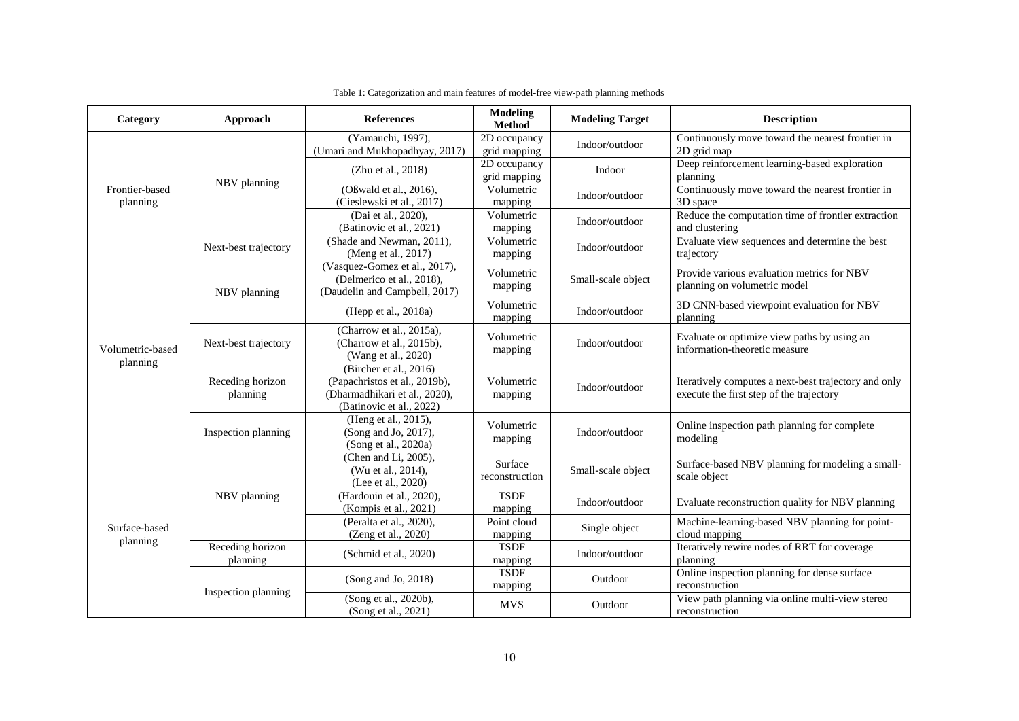<span id="page-9-0"></span>

| Category                     | Approach                     | <b>References</b>                                                                                                    | <b>Modeling</b><br><b>Method</b>                   | <b>Modeling Target</b> | <b>Description</b>                                                                               |
|------------------------------|------------------------------|----------------------------------------------------------------------------------------------------------------------|----------------------------------------------------|------------------------|--------------------------------------------------------------------------------------------------|
| Frontier-based<br>planning   | NBV planning                 | (Yamauchi, 1997),<br>(Umari and Mukhopadhyay, 2017)                                                                  | 2D occupancy<br>grid mapping                       | Indoor/outdoor         | Continuously move toward the nearest frontier in<br>2D grid map                                  |
|                              |                              | (Zhu et al., 2018)                                                                                                   | 2D occupancy<br>Indoor<br>planning<br>grid mapping |                        | Deep reinforcement learning-based exploration                                                    |
|                              |                              | (Oßwald et al., 2016),<br>(Cieslewski et al., 2017)                                                                  | Volumetric<br>mapping                              | Indoor/outdoor         | Continuously move toward the nearest frontier in<br>3D space                                     |
|                              |                              | (Dai et al., 2020),<br>(Batinovic et al., 2021)                                                                      | Volumetric<br>mapping                              | Indoor/outdoor         | Reduce the computation time of frontier extraction<br>and clustering                             |
|                              | Next-best trajectory         | (Shade and Newman, 2011),<br>(Meng et al., 2017)                                                                     | Volumetric<br>mapping                              | Indoor/outdoor         | Evaluate view sequences and determine the best<br>trajectory                                     |
| Volumetric-based<br>planning | NBV planning                 | (Vasquez-Gomez et al., 2017),<br>(Delmerico et al., 2018),<br>(Daudelin and Campbell, 2017)                          | Volumetric<br>mapping                              | Small-scale object     | Provide various evaluation metrics for NBV<br>planning on volumetric model                       |
|                              |                              | (Hepp et al., 2018a)                                                                                                 | Volumetric<br>mapping                              | Indoor/outdoor         | 3D CNN-based viewpoint evaluation for NBV<br>planning                                            |
|                              | Next-best trajectory         | (Charrow et al., 2015a),<br>(Charrow et al., 2015b),<br>(Wang et al., 2020)                                          | Volumetric<br>mapping                              | Indoor/outdoor         | Evaluate or optimize view paths by using an<br>information-theoretic measure                     |
|                              | Receding horizon<br>planning | (Bircher et al., 2016)<br>(Papachristos et al., 2019b),<br>(Dharmadhikari et al., 2020),<br>(Batinovic et al., 2022) | Volumetric<br>mapping                              | Indoor/outdoor         | Iteratively computes a next-best trajectory and only<br>execute the first step of the trajectory |
|                              | Inspection planning          | (Heng et al., 2015),<br>(Song and Jo, 2017),<br>(Song et al., 2020a)                                                 | Volumetric<br>mapping                              | Indoor/outdoor         | Online inspection path planning for complete<br>modeling                                         |
| Surface-based<br>planning    | NBV planning                 | (Chen and Li, 2005),<br>(Wu et al., 2014),<br>(Lee et al., 2020)                                                     | Surface<br>reconstruction                          | Small-scale object     | Surface-based NBV planning for modeling a small-<br>scale object                                 |
|                              |                              | (Hardouin et al., 2020),<br>(Kompis et al., 2021)                                                                    | <b>TSDF</b><br>mapping                             | Indoor/outdoor         | Evaluate reconstruction quality for NBV planning                                                 |
|                              |                              | (Peralta et al., 2020),<br>(Zeng et al., 2020)                                                                       | Point cloud<br>mapping                             | Single object          | Machine-learning-based NBV planning for point-<br>cloud mapping                                  |
|                              | Receding horizon<br>planning | (Schmid et al., 2020)                                                                                                | <b>TSDF</b><br>mapping                             | Indoor/outdoor         | Iteratively rewire nodes of RRT for coverage<br>planning                                         |
|                              | Inspection planning          | (Song and Jo, 2018)                                                                                                  | <b>TSDF</b><br>mapping                             | Outdoor                | Online inspection planning for dense surface<br>reconstruction                                   |
|                              |                              | (Song et al., 2020b),<br>(Song et al., 2021)                                                                         | <b>MVS</b>                                         | Outdoor                | View path planning via online multi-view stereo<br>reconstruction                                |

Table 1: Categorization and main features of model-free view-path planning methods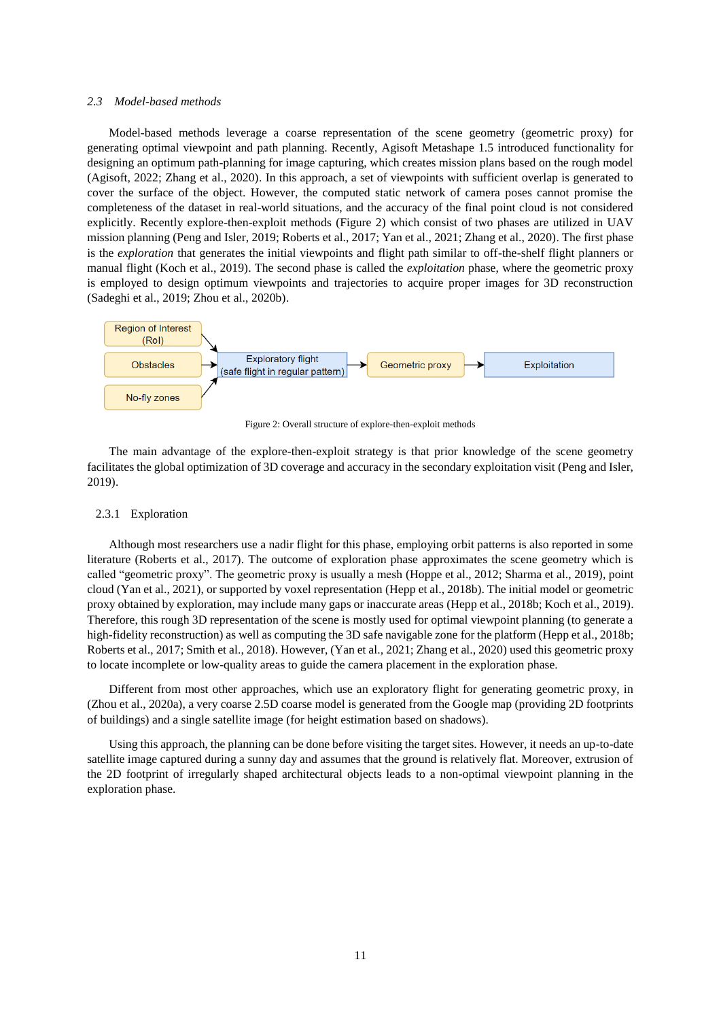# *2.3 Model-based methods*

Model-based methods leverage a coarse representation of the scene geometry (geometric proxy) for generating optimal viewpoint and path planning. Recently, Agisoft Metashape 1.5 introduced functionality for designing an optimum path-planning for image capturing, which creates mission plans based on the rough model (Agisoft, 2022; Zhang et al., 2020). In this approach, a set of viewpoints with sufficient overlap is generated to cover the surface of the object. However, the computed static network of camera poses cannot promise the completeness of the dataset in real-world situations, and the accuracy of the final point cloud is not considered explicitly. Recently explore-then-exploit methods [\(Figure 2\)](#page-10-0) which consist of two phases are utilized in UAV mission planning (Peng and Isler, 2019; Roberts et al., 2017; Yan et al., 2021; Zhang et al., 2020). The first phase is the *exploration* that generates the initial viewpoints and flight path similar to off-the-shelf flight planners or manual flight (Koch et al., 2019). The second phase is called the *exploitation* phase, where the geometric proxy is employed to design optimum viewpoints and trajectories to acquire proper images for 3D reconstruction (Sadeghi et al., 2019; Zhou et al., 2020b).



Figure 2: Overall structure of explore-then-exploit methods

<span id="page-10-0"></span>The main advantage of the explore-then-exploit strategy is that prior knowledge of the scene geometry facilitates the global optimization of 3D coverage and accuracy in the secondary exploitation visit (Peng and Isler, 2019).

## <span id="page-10-1"></span>2.3.1 Exploration

Although most researchers use a nadir flight for this phase, employing orbit patterns is also reported in some literature (Roberts et al., 2017). The outcome of exploration phase approximates the scene geometry which is called "geometric proxy". The geometric proxy is usually a mesh (Hoppe et al., 2012; Sharma et al., 2019), point cloud (Yan et al., 2021), or supported by voxel representation (Hepp et al., 2018b). The initial model or geometric proxy obtained by exploration, may include many gaps or inaccurate areas (Hepp et al., 2018b; Koch et al., 2019). Therefore, this rough 3D representation of the scene is mostly used for optimal viewpoint planning (to generate a high-fidelity reconstruction) as well as computing the 3D safe navigable zone for the platform (Hepp et al., 2018b; Roberts et al., 2017; Smith et al., 2018). However, (Yan et al., 2021; Zhang et al., 2020) used this geometric proxy to locate incomplete or low-quality areas to guide the camera placement in the exploration phase.

Different from most other approaches, which use an exploratory flight for generating geometric proxy, in (Zhou et al., 2020a), a very coarse 2.5D coarse model is generated from the Google map (providing 2D footprints of buildings) and a single satellite image (for height estimation based on shadows).

Using this approach, the planning can be done before visiting the target sites. However, it needs an up-to-date satellite image captured during a sunny day and assumes that the ground is relatively flat. Moreover, extrusion of the 2D footprint of irregularly shaped architectural objects leads to a non-optimal viewpoint planning in the exploration phase.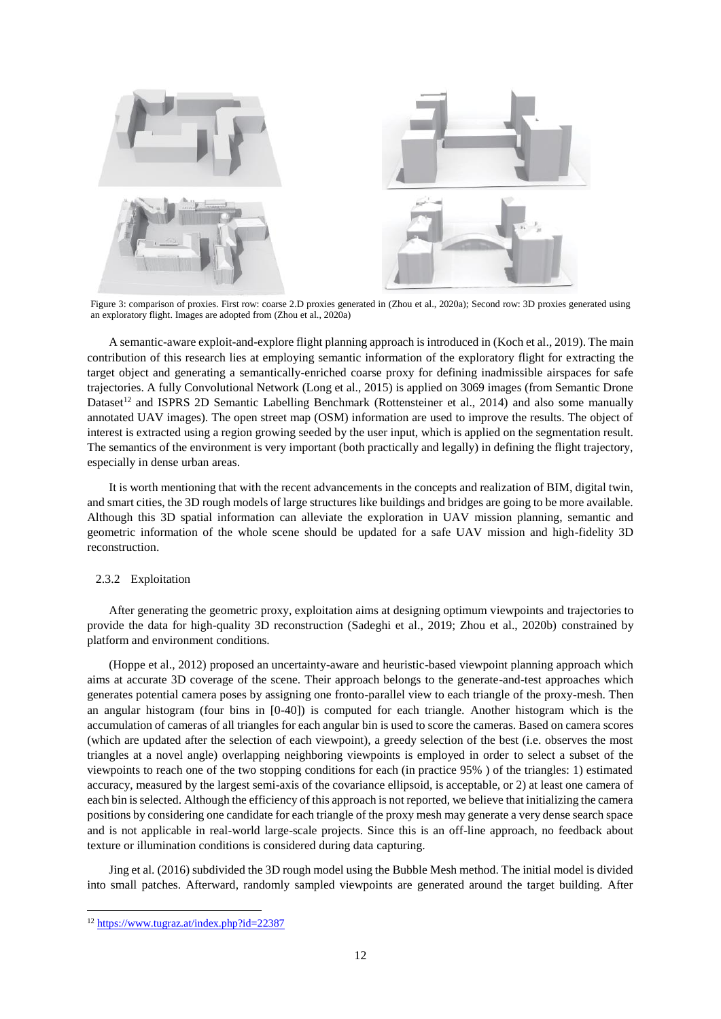

Figure 3: comparison of proxies. First row: coarse 2.D proxies generated in (Zhou et al., 2020a); Second row: 3D proxies generated using an exploratory flight. Images are adopted from (Zhou et al., 2020a)

A semantic-aware exploit-and-explore flight planning approach is introduced in (Koch et al., 2019). The main contribution of this research lies at employing semantic information of the exploratory flight for extracting the target object and generating a semantically-enriched coarse proxy for defining inadmissible airspaces for safe trajectories. A fully Convolutional Network (Long et al., 2015) is applied on 3069 images (from Semantic Drone Dataset<sup>12</sup> and ISPRS 2D Semantic Labelling Benchmark (Rottensteiner et al., 2014) and also some manually annotated UAV images). The open street map (OSM) information are used to improve the results. The object of interest is extracted using a region growing seeded by the user input, which is applied on the segmentation result. The semantics of the environment is very important (both practically and legally) in defining the flight trajectory, especially in dense urban areas.

It is worth mentioning that with the recent advancements in the concepts and realization of BIM, digital twin, and smart cities, the 3D rough models of large structures like buildings and bridges are going to be more available. Although this 3D spatial information can alleviate the exploration in UAV mission planning, semantic and geometric information of the whole scene should be updated for a safe UAV mission and high-fidelity 3D reconstruction.

# 2.3.2 Exploitation

After generating the geometric proxy, exploitation aims at designing optimum viewpoints and trajectories to provide the data for high-quality 3D reconstruction (Sadeghi et al., 2019; Zhou et al., 2020b) constrained by platform and environment conditions.

(Hoppe et al., 2012) proposed an uncertainty-aware and heuristic-based viewpoint planning approach which aims at accurate 3D coverage of the scene. Their approach belongs to the generate-and-test approaches which generates potential camera poses by assigning one fronto-parallel view to each triangle of the proxy-mesh. Then an angular histogram (four bins in [0-40]) is computed for each triangle. Another histogram which is the accumulation of cameras of all triangles for each angular bin is used to score the cameras. Based on camera scores (which are updated after the selection of each viewpoint), a greedy selection of the best (i.e. observes the most triangles at a novel angle) overlapping neighboring viewpoints is employed in order to select a subset of the viewpoints to reach one of the two stopping conditions for each (in practice 95% ) of the triangles: 1) estimated accuracy, measured by the largest semi-axis of the covariance ellipsoid, is acceptable, or 2) at least one camera of each bin is selected. Although the efficiency of this approach is not reported, we believe that initializing the camera positions by considering one candidate for each triangle of the proxy mesh may generate a very dense search space and is not applicable in real-world large-scale projects. Since this is an off-line approach, no feedback about texture or illumination conditions is considered during data capturing.

Jing et al. (2016) subdivided the 3D rough model using the Bubble Mesh method. The initial model is divided into small patches. Afterward, randomly sampled viewpoints are generated around the target building. After

**.** 

<sup>12</sup> <https://www.tugraz.at/index.php?id=22387>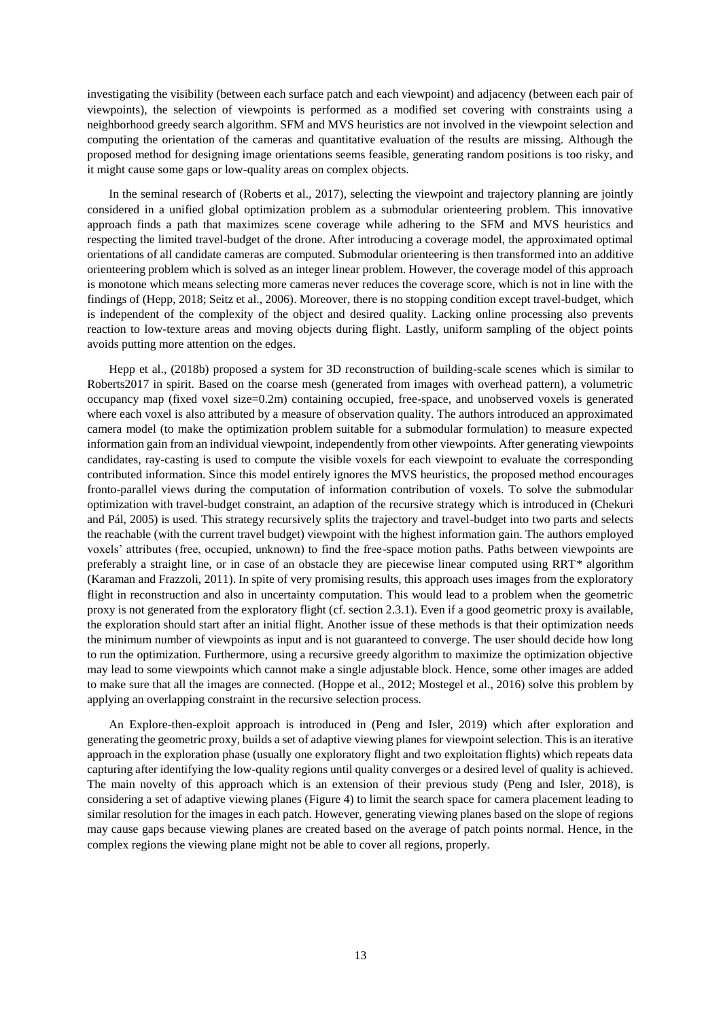investigating the visibility (between each surface patch and each viewpoint) and adjacency (between each pair of viewpoints), the selection of viewpoints is performed as a modified set covering with constraints using a neighborhood greedy search algorithm. SFM and MVS heuristics are not involved in the viewpoint selection and computing the orientation of the cameras and quantitative evaluation of the results are missing. Although the proposed method for designing image orientations seems feasible, generating random positions is too risky, and it might cause some gaps or low-quality areas on complex objects.

In the seminal research of (Roberts et al., 2017), selecting the viewpoint and trajectory planning are jointly considered in a unified global optimization problem as a submodular orienteering problem. This innovative approach finds a path that maximizes scene coverage while adhering to the SFM and MVS heuristics and respecting the limited travel-budget of the drone. After introducing a coverage model, the approximated optimal orientations of all candidate cameras are computed. Submodular orienteering is then transformed into an additive orienteering problem which is solved as an integer linear problem. However, the coverage model of this approach is monotone which means selecting more cameras never reduces the coverage score, which is not in line with the findings of (Hepp, 2018; Seitz et al., 2006). Moreover, there is no stopping condition except travel-budget, which is independent of the complexity of the object and desired quality. Lacking online processing also prevents reaction to low-texture areas and moving objects during flight. Lastly, uniform sampling of the object points avoids putting more attention on the edges.

Hepp et al., (2018b) proposed a system for 3D reconstruction of building-scale scenes which is similar to Roberts2017 in spirit. Based on the coarse mesh (generated from images with overhead pattern), a volumetric occupancy map (fixed voxel size=0.2m) containing occupied, free-space, and unobserved voxels is generated where each voxel is also attributed by a measure of observation quality. The authors introduced an approximated camera model (to make the optimization problem suitable for a submodular formulation) to measure expected information gain from an individual viewpoint, independently from other viewpoints. After generating viewpoints candidates, ray-casting is used to compute the visible voxels for each viewpoint to evaluate the corresponding contributed information. Since this model entirely ignores the MVS heuristics, the proposed method encourages fronto-parallel views during the computation of information contribution of voxels. To solve the submodular optimization with travel-budget constraint, an adaption of the recursive strategy which is introduced in (Chekuri and Pál, 2005) is used. This strategy recursively splits the trajectory and travel-budget into two parts and selects the reachable (with the current travel budget) viewpoint with the highest information gain. The authors employed voxels' attributes (free, occupied, unknown) to find the free-space motion paths. Paths between viewpoints are preferably a straight line, or in case of an obstacle they are piecewise linear computed using RRT\* algorithm (Karaman and Frazzoli, 2011). In spite of very promising results, this approach uses images from the exploratory flight in reconstruction and also in uncertainty computation. This would lead to a problem when the geometric proxy is not generated from the exploratory flight (cf. section [2.3.1\)](#page-10-1). Even if a good geometric proxy is available, the exploration should start after an initial flight. Another issue of these methods is that their optimization needs the minimum number of viewpoints as input and is not guaranteed to converge. The user should decide how long to run the optimization. Furthermore, using a recursive greedy algorithm to maximize the optimization objective may lead to some viewpoints which cannot make a single adjustable block. Hence, some other images are added to make sure that all the images are connected. (Hoppe et al., 2012; Mostegel et al., 2016) solve this problem by applying an overlapping constraint in the recursive selection process.

An Explore-then-exploit approach is introduced in (Peng and Isler, 2019) which after exploration and generating the geometric proxy, builds a set of adaptive viewing planes for viewpoint selection. This is an iterative approach in the exploration phase (usually one exploratory flight and two exploitation flights) which repeats data capturing after identifying the low-quality regions until quality converges or a desired level of quality is achieved. The main novelty of this approach which is an extension of their previous study (Peng and Isler, 2018), is considering a set of adaptive viewing planes [\(Figure 4\)](#page-13-0) to limit the search space for camera placement leading to similar resolution for the images in each patch. However, generating viewing planes based on the slope of regions may cause gaps because viewing planes are created based on the average of patch points normal. Hence, in the complex regions the viewing plane might not be able to cover all regions, properly.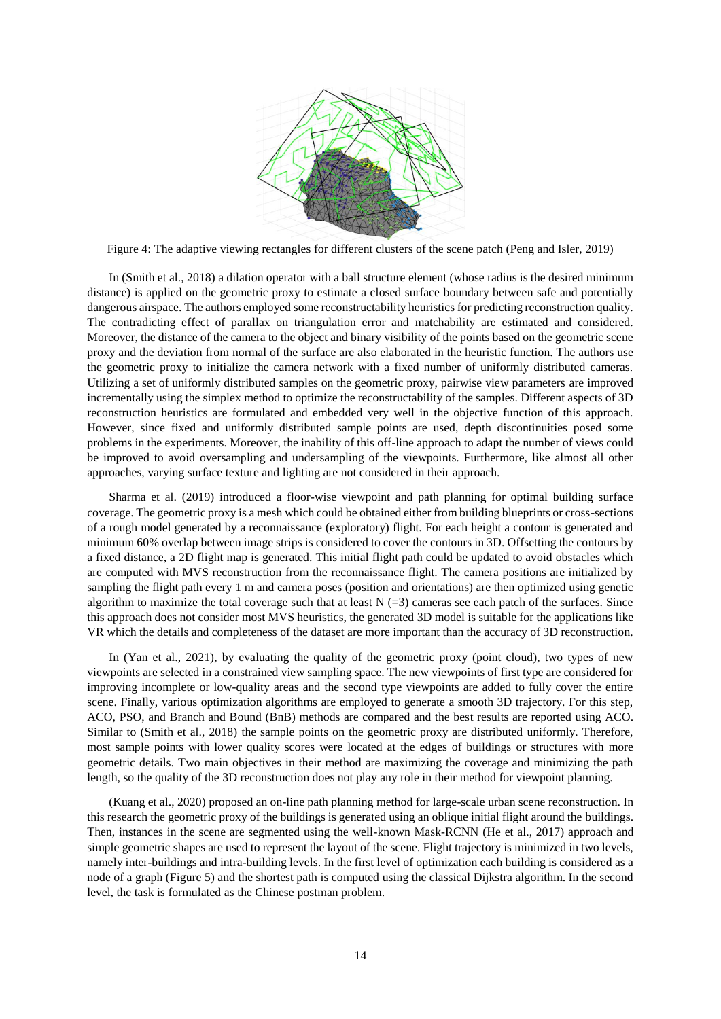

Figure 4: The adaptive viewing rectangles for different clusters of the scene patch (Peng and Isler, 2019)

<span id="page-13-0"></span>In (Smith et al., 2018) a dilation operator with a ball structure element (whose radius is the desired minimum distance) is applied on the geometric proxy to estimate a closed surface boundary between safe and potentially dangerous airspace. The authors employed some reconstructability heuristics for predicting reconstruction quality. The contradicting effect of parallax on triangulation error and matchability are estimated and considered. Moreover, the distance of the camera to the object and binary visibility of the points based on the geometric scene proxy and the deviation from normal of the surface are also elaborated in the heuristic function. The authors use the geometric proxy to initialize the camera network with a fixed number of uniformly distributed cameras. Utilizing a set of uniformly distributed samples on the geometric proxy, pairwise view parameters are improved incrementally using the simplex method to optimize the reconstructability of the samples. Different aspects of 3D reconstruction heuristics are formulated and embedded very well in the objective function of this approach. However, since fixed and uniformly distributed sample points are used, depth discontinuities posed some problems in the experiments. Moreover, the inability of this off-line approach to adapt the number of views could be improved to avoid oversampling and undersampling of the viewpoints. Furthermore, like almost all other approaches, varying surface texture and lighting are not considered in their approach.

Sharma et al. (2019) introduced a floor-wise viewpoint and path planning for optimal building surface coverage. The geometric proxy is a mesh which could be obtained either from building blueprints or cross-sections of a rough model generated by a reconnaissance (exploratory) flight. For each height a contour is generated and minimum 60% overlap between image strips is considered to cover the contours in 3D. Offsetting the contours by a fixed distance, a 2D flight map is generated. This initial flight path could be updated to avoid obstacles which are computed with MVS reconstruction from the reconnaissance flight. The camera positions are initialized by sampling the flight path every 1 m and camera poses (position and orientations) are then optimized using genetic algorithm to maximize the total coverage such that at least  $N$  (=3) cameras see each patch of the surfaces. Since this approach does not consider most MVS heuristics, the generated 3D model is suitable for the applications like VR which the details and completeness of the dataset are more important than the accuracy of 3D reconstruction.

In (Yan et al., 2021), by evaluating the quality of the geometric proxy (point cloud), two types of new viewpoints are selected in a constrained view sampling space. The new viewpoints of first type are considered for improving incomplete or low-quality areas and the second type viewpoints are added to fully cover the entire scene. Finally, various optimization algorithms are employed to generate a smooth 3D trajectory. For this step, ACO, PSO, and Branch and Bound (BnB) methods are compared and the best results are reported using ACO. Similar to (Smith et al., 2018) the sample points on the geometric proxy are distributed uniformly. Therefore, most sample points with lower quality scores were located at the edges of buildings or structures with more geometric details. Two main objectives in their method are maximizing the coverage and minimizing the path length, so the quality of the 3D reconstruction does not play any role in their method for viewpoint planning.

(Kuang et al., 2020) proposed an on-line path planning method for large-scale urban scene reconstruction. In this research the geometric proxy of the buildings is generated using an oblique initial flight around the buildings. Then, instances in the scene are segmented using the well-known Mask-RCNN (He et al., 2017) approach and simple geometric shapes are used to represent the layout of the scene. Flight trajectory is minimized in two levels, namely inter-buildings and intra-building levels. In the first level of optimization each building is considered as a node of a graph [\(Figure 5\)](#page-14-0) and the shortest path is computed using the classical Dijkstra algorithm. In the second level, the task is formulated as the Chinese postman problem.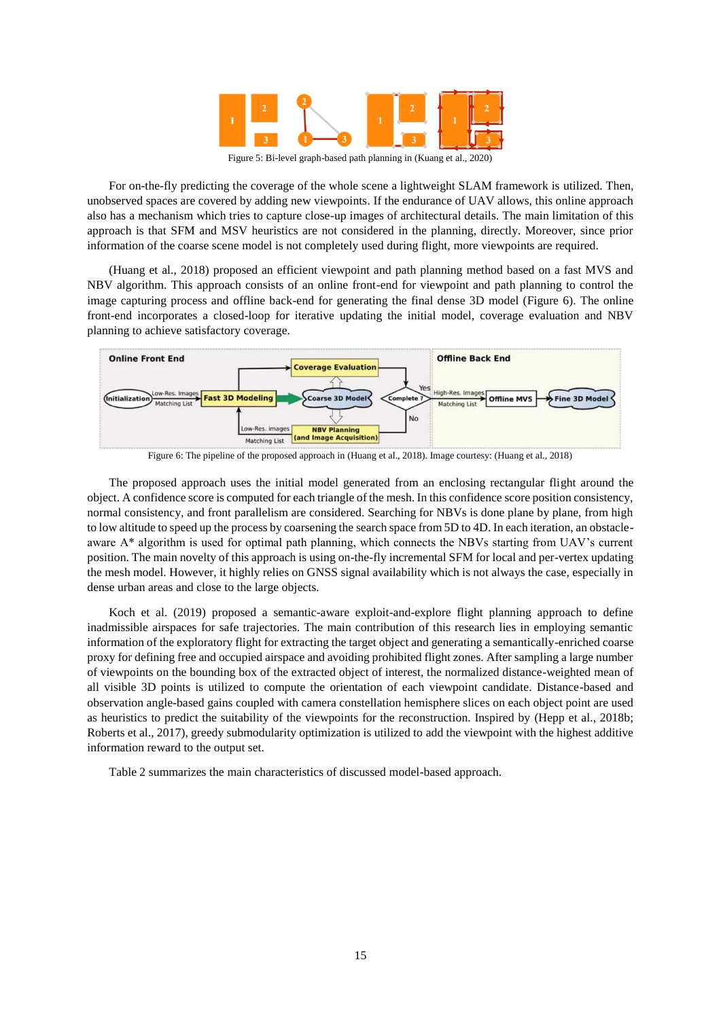

Figure 5: Bi-level graph-based path planning in (Kuang et al., 2020)

<span id="page-14-0"></span>For on-the-fly predicting the coverage of the whole scene a lightweight SLAM framework is utilized. Then, unobserved spaces are covered by adding new viewpoints. If the endurance of UAV allows, this online approach also has a mechanism which tries to capture close-up images of architectural details. The main limitation of this approach is that SFM and MSV heuristics are not considered in the planning, directly. Moreover, since prior information of the coarse scene model is not completely used during flight, more viewpoints are required.

(Huang et al., 2018) proposed an efficient viewpoint and path planning method based on a fast MVS and NBV algorithm. This approach consists of an online front-end for viewpoint and path planning to control the image capturing process and offline back-end for generating the final dense 3D model [\(Figure 6\)](#page-14-1). The online front-end incorporates a closed-loop for iterative updating the initial model, coverage evaluation and NBV planning to achieve satisfactory coverage.



Figure 6: The pipeline of the proposed approach in (Huang et al., 2018). Image courtesy: (Huang et al., 2018)

<span id="page-14-1"></span>The proposed approach uses the initial model generated from an enclosing rectangular flight around the object. A confidence score is computed for each triangle of the mesh. In this confidence score position consistency, normal consistency, and front parallelism are considered. Searching for NBVs is done plane by plane, from high to low altitude to speed up the process by coarsening the search space from 5D to 4D. In each iteration, an obstacleaware A\* algorithm is used for optimal path planning, which connects the NBVs starting from UAV's current position. The main novelty of this approach is using on-the-fly incremental SFM for local and per-vertex updating the mesh model. However, it highly relies on GNSS signal availability which is not always the case, especially in dense urban areas and close to the large objects.

Koch et al. (2019) proposed a semantic-aware exploit-and-explore flight planning approach to define inadmissible airspaces for safe trajectories. The main contribution of this research lies in employing semantic information of the exploratory flight for extracting the target object and generating a semantically-enriched coarse proxy for defining free and occupied airspace and avoiding prohibited flight zones. After sampling a large number of viewpoints on the bounding box of the extracted object of interest, the normalized distance-weighted mean of all visible 3D points is utilized to compute the orientation of each viewpoint candidate. Distance-based and observation angle-based gains coupled with camera constellation hemisphere slices on each object point are used as heuristics to predict the suitability of the viewpoints for the reconstruction. Inspired by (Hepp et al., 2018b; Roberts et al., 2017), greedy submodularity optimization is utilized to add the viewpoint with the highest additive information reward to the output set.

[Table 2](#page-15-0) summarizes the main characteristics of discussed model-based approach.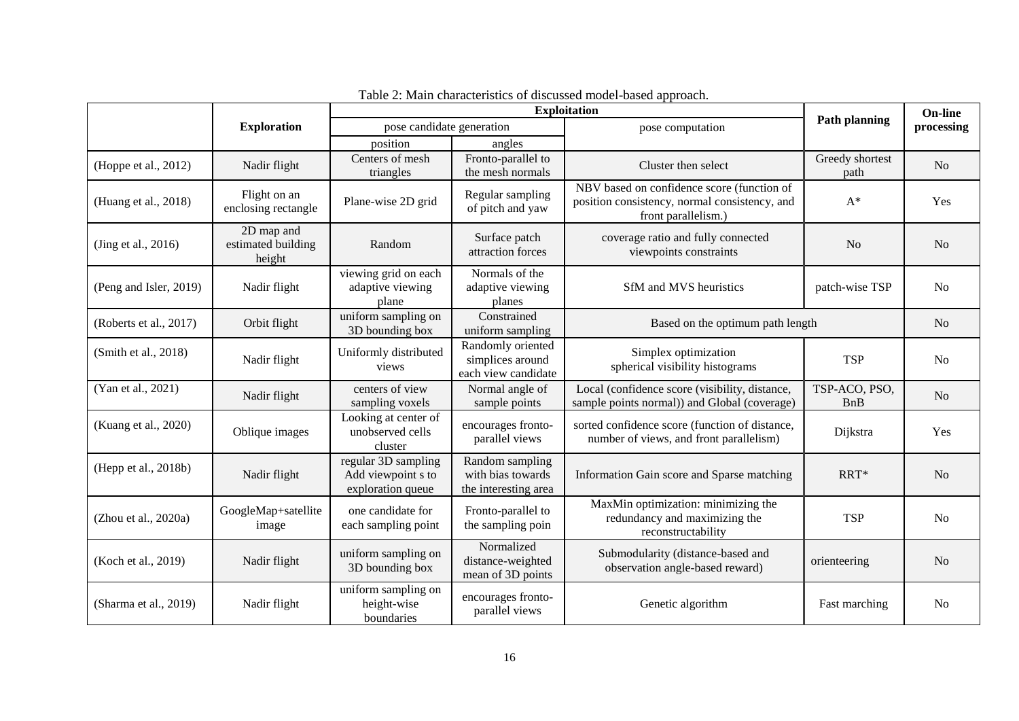<span id="page-15-0"></span>

|                        |                                            | <b>Exploitation</b>                                            |                                                              |                                                                                                                    |                             | On-line        |
|------------------------|--------------------------------------------|----------------------------------------------------------------|--------------------------------------------------------------|--------------------------------------------------------------------------------------------------------------------|-----------------------------|----------------|
|                        | <b>Exploration</b>                         | pose candidate generation                                      |                                                              | pose computation                                                                                                   | <b>Path planning</b>        | processing     |
|                        |                                            | position                                                       | angles                                                       |                                                                                                                    |                             |                |
| (Hoppe et al., 2012)   | Nadir flight                               | Centers of mesh<br>triangles                                   | Fronto-parallel to<br>the mesh normals                       | Cluster then select                                                                                                | Greedy shortest<br>path     | N <sub>o</sub> |
| (Huang et al., 2018)   | Flight on an<br>enclosing rectangle        | Plane-wise 2D grid                                             | Regular sampling<br>of pitch and yaw                         | NBV based on confidence score (function of<br>position consistency, normal consistency, and<br>front parallelism.) | $A^*$                       | Yes            |
| (Jing et al., 2016)    | 2D map and<br>estimated building<br>height | Random                                                         | Surface patch<br>attraction forces                           | coverage ratio and fully connected<br>viewpoints constraints                                                       | N <sub>o</sub>              | N <sub>o</sub> |
| (Peng and Isler, 2019) | Nadir flight                               | viewing grid on each<br>adaptive viewing<br>plane              | Normals of the<br>adaptive viewing<br>planes                 | SfM and MVS heuristics                                                                                             | patch-wise TSP              | N <sub>o</sub> |
| (Roberts et al., 2017) | Orbit flight                               | uniform sampling on<br>3D bounding box                         | Constrained<br>uniform sampling                              | Based on the optimum path length                                                                                   |                             | No             |
| (Smith et al., 2018)   | Nadir flight                               | Uniformly distributed<br>views                                 | Randomly oriented<br>simplices around<br>each view candidate | Simplex optimization<br>spherical visibility histograms                                                            | <b>TSP</b>                  | N <sub>o</sub> |
| (Yan et al., 2021)     | Nadir flight                               | centers of view<br>sampling voxels                             | Normal angle of<br>sample points                             | Local (confidence score (visibility, distance,<br>sample points normal)) and Global (coverage)                     | TSP-ACO, PSO,<br><b>BnB</b> | N <sub>o</sub> |
| (Kuang et al., 2020)   | Oblique images                             | Looking at center of<br>unobserved cells<br>cluster            | encourages fronto-<br>parallel views                         | sorted confidence score (function of distance,<br>number of views, and front parallelism)                          | Dijkstra                    | Yes            |
| (Hepp et al., 2018b)   | Nadir flight                               | regular 3D sampling<br>Add viewpoint s to<br>exploration queue | Random sampling<br>with bias towards<br>the interesting area | Information Gain score and Sparse matching                                                                         | RRT*                        | N <sub>o</sub> |
| (Zhou et al., 2020a)   | GoogleMap+satellite<br>image               | one candidate for<br>each sampling point                       | Fronto-parallel to<br>the sampling poin                      | MaxMin optimization: minimizing the<br>redundancy and maximizing the<br>reconstructability                         | <b>TSP</b>                  | N <sub>o</sub> |
| (Koch et al., 2019)    | Nadir flight                               | uniform sampling on<br>3D bounding box                         | Normalized<br>distance-weighted<br>mean of 3D points         | Submodularity (distance-based and<br>observation angle-based reward)                                               | orienteering                | N <sub>o</sub> |
| (Sharma et al., 2019)  | Nadir flight                               | uniform sampling on<br>height-wise<br>boundaries               | encourages fronto-<br>parallel views                         | Genetic algorithm<br>Fast marching                                                                                 |                             | N <sub>o</sub> |

| Table 2: Main characteristics of discussed model-based approach. |  |
|------------------------------------------------------------------|--|
|------------------------------------------------------------------|--|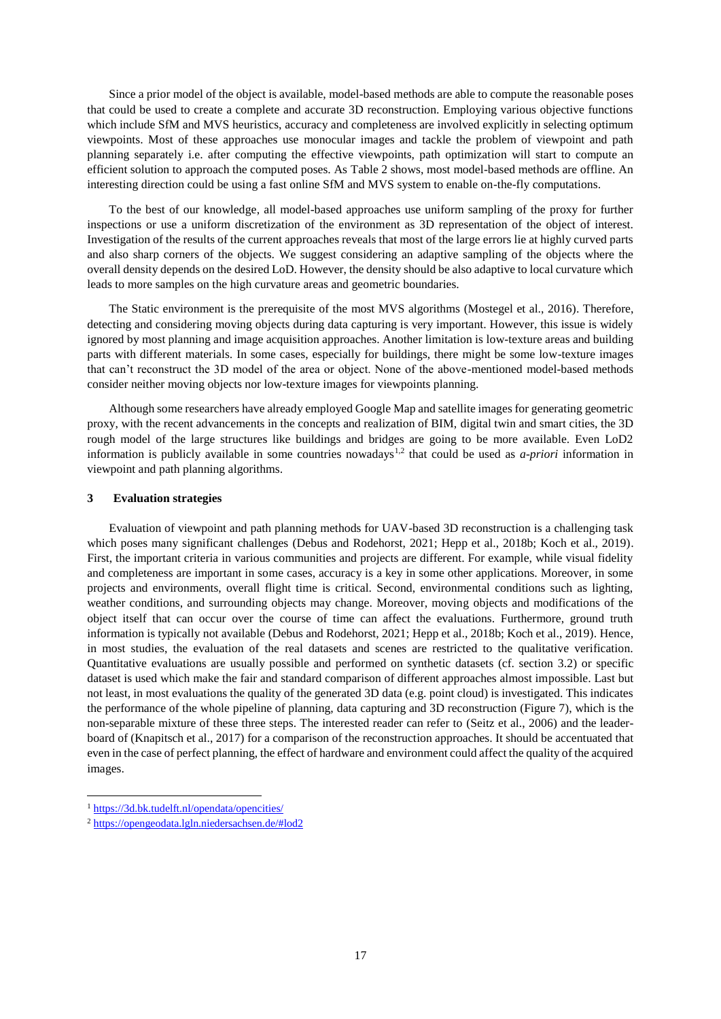Since a prior model of the object is available, model-based methods are able to compute the reasonable poses that could be used to create a complete and accurate 3D reconstruction. Employing various objective functions which include SfM and MVS heuristics, accuracy and completeness are involved explicitly in selecting optimum viewpoints. Most of these approaches use monocular images and tackle the problem of viewpoint and path planning separately i.e. after computing the effective viewpoints, path optimization will start to compute an efficient solution to approach the computed poses. As [Table 2](#page-15-0) shows, most model-based methods are offline. An interesting direction could be using a fast online SfM and MVS system to enable on-the-fly computations.

To the best of our knowledge, all model-based approaches use uniform sampling of the proxy for further inspections or use a uniform discretization of the environment as 3D representation of the object of interest. Investigation of the results of the current approaches reveals that most of the large errors lie at highly curved parts and also sharp corners of the objects. We suggest considering an adaptive sampling of the objects where the overall density depends on the desired LoD. However, the density should be also adaptive to local curvature which leads to more samples on the high curvature areas and geometric boundaries.

The Static environment is the prerequisite of the most MVS algorithms (Mostegel et al., 2016). Therefore, detecting and considering moving objects during data capturing is very important. However, this issue is widely ignored by most planning and image acquisition approaches. Another limitation is low-texture areas and building parts with different materials. In some cases, especially for buildings, there might be some low-texture images that can't reconstruct the 3D model of the area or object. None of the above-mentioned model-based methods consider neither moving objects nor low-texture images for viewpoints planning.

Although some researchers have already employed Google Map and satellite images for generating geometric proxy, with the recent advancements in the concepts and realization of BIM, digital twin and smart cities, the 3D rough model of the large structures like buildings and bridges are going to be more available. Even LoD2 information is publicly available in some countries nowadays<sup>1,2</sup> that could be used as *a-priori* information in viewpoint and path planning algorithms.

## <span id="page-16-0"></span>**3 Evaluation strategies**

Evaluation of viewpoint and path planning methods for UAV-based 3D reconstruction is a challenging task which poses many significant challenges (Debus and Rodehorst, 2021; Hepp et al., 2018b; Koch et al., 2019). First, the important criteria in various communities and projects are different. For example, while visual fidelity and completeness are important in some cases, accuracy is a key in some other applications. Moreover, in some projects and environments, overall flight time is critical. Second, environmental conditions such as lighting, weather conditions, and surrounding objects may change. Moreover, moving objects and modifications of the object itself that can occur over the course of time can affect the evaluations. Furthermore, ground truth information is typically not available (Debus and Rodehorst, 2021; Hepp et al., 2018b; Koch et al., 2019). Hence, in most studies, the evaluation of the real datasets and scenes are restricted to the qualitative verification. Quantitative evaluations are usually possible and performed on synthetic datasets (cf. section [3.2\)](#page-19-0) or specific dataset is used which make the fair and standard comparison of different approaches almost impossible. Last but not least, in most evaluations the quality of the generated 3D data (e.g. point cloud) is investigated. This indicates the performance of the whole pipeline of planning, data capturing and 3D reconstruction [\(Figure 7\)](#page-17-0), which is the non-separable mixture of these three steps. The interested reader can refer to (Seitz et al., 2006) and the leaderboard of (Knapitsch et al., 2017) for a comparison of the reconstruction approaches. It should be accentuated that even in the case of perfect planning, the effect of hardware and environment could affect the quality of the acquired images.

 $\overline{a}$ 

<sup>1</sup> <https://3d.bk.tudelft.nl/opendata/opencities/>

<sup>2</sup> <https://opengeodata.lgln.niedersachsen.de/#lod2>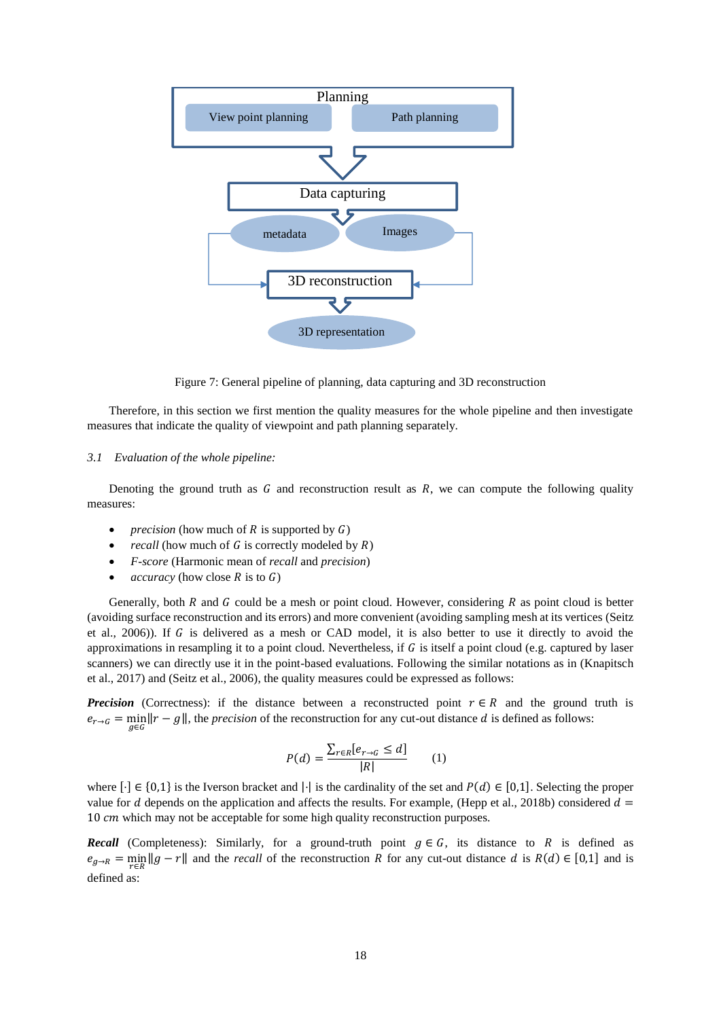

Figure 7: General pipeline of planning, data capturing and 3D reconstruction

<span id="page-17-0"></span>Therefore, in this section we first mention the quality measures for the whole pipeline and then investigate measures that indicate the quality of viewpoint and path planning separately.

#### *3.1 Evaluation of the whole pipeline:*

Denoting the ground truth as  $G$  and reconstruction result as  $R$ , we can compute the following quality measures:

- *precision* (how much of  $R$  is supported by  $G$ )
- *recall* (how much of  $G$  is correctly modeled by  $R$ )
- *F-score* (Harmonic mean of *recall* and *precision*)
- *accuracy* (how close  $R$  is to  $G$ )

Generally, both  $R$  and  $G$  could be a mesh or point cloud. However, considering  $R$  as point cloud is better (avoiding surface reconstruction and its errors) and more convenient (avoiding sampling mesh at its vertices (Seitz et al., 2006)). If  $G$  is delivered as a mesh or CAD model, it is also better to use it directly to avoid the approximations in resampling it to a point cloud. Nevertheless, if  $G$  is itself a point cloud (e.g. captured by laser scanners) we can directly use it in the point-based evaluations. Following the similar notations as in (Knapitsch et al., 2017) and (Seitz et al., 2006), the quality measures could be expressed as follows:

*Precision* (Correctness): if the distance between a reconstructed point  $r \in R$  and the ground truth is  $e_{r\to G} = \min_{g \in G} ||r - g||$ , the *precision* of the reconstruction for any cut-out distance d is defined as follows:

$$
P(d) = \frac{\sum_{r \in R} [e_{r \to G} \le d]}{|R|} \qquad (1)
$$

where  $[\cdot] \in \{0,1\}$  is the Iverson bracket and  $|\cdot|$  is the cardinality of the set and  $P(d) \in [0,1]$ . Selecting the proper value for d depends on the application and affects the results. For example, (Hepp et al., 2018b) considered  $d =$ 10 cm which may not be acceptable for some high quality reconstruction purposes.

*Recall* (Completeness): Similarly, for a ground-truth point  $g \in G$ , its distance to R is defined as  $e_{g\to R} = \min_{r \in R} ||g - r||$  and the *recall* of the reconstruction R for any cut-out distance d is  $R(d) \in [0,1]$  and is defined as: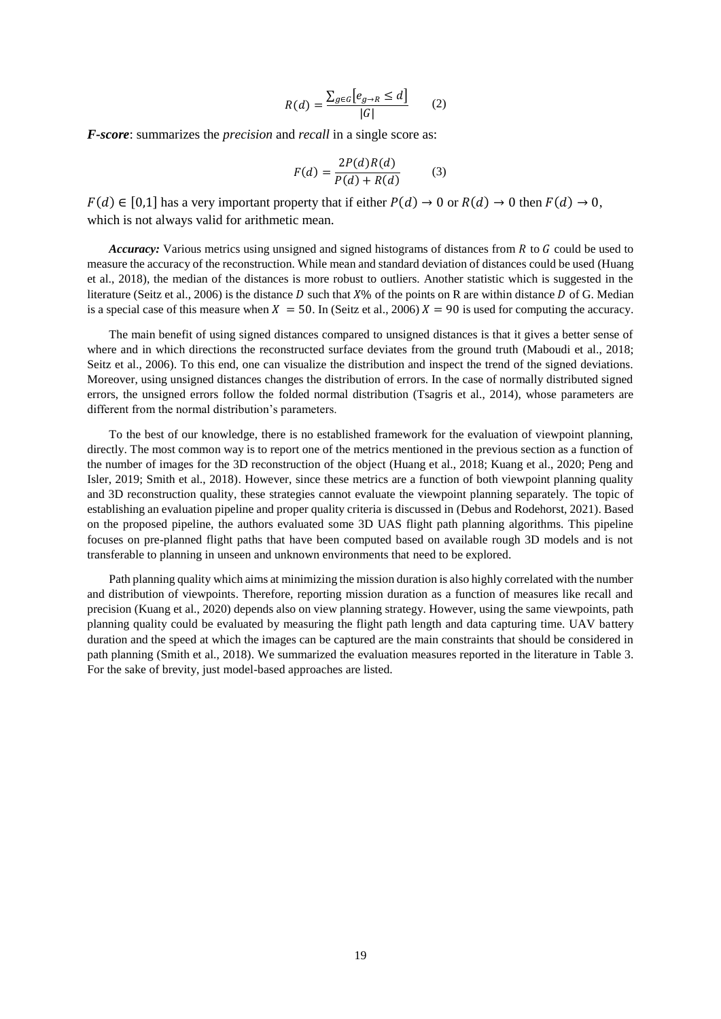$$
R(d) = \frac{\sum_{g \in G} [e_{g \to R} \le d]}{|G|} \qquad (2)
$$

*F-score*: summarizes the *precision* and *recall* in a single score as:

$$
F(d) = \frac{2P(d)R(d)}{P(d) + R(d)}\tag{3}
$$

 $F(d) \in [0,1]$  has a very important property that if either  $P(d) \to 0$  or  $R(d) \to 0$  then  $F(d) \to 0$ , which is not always valid for arithmetic mean.

*Accuracy:* Various metrics using unsigned and signed histograms of distances from R to G could be used to measure the accuracy of the reconstruction. While mean and standard deviation of distances could be used (Huang et al., 2018), the median of the distances is more robust to outliers. Another statistic which is suggested in the literature (Seitz et al., 2006) is the distance D such that  $X\%$  of the points on R are within distance D of G. Median is a special case of this measure when  $X = 50$ . In (Seitz et al., 2006)  $X = 90$  is used for computing the accuracy.

The main benefit of using signed distances compared to unsigned distances is that it gives a better sense of where and in which directions the reconstructed surface deviates from the ground truth (Maboudi et al., 2018; Seitz et al., 2006). To this end, one can visualize the distribution and inspect the trend of the signed deviations. Moreover, using unsigned distances changes the distribution of errors. In the case of normally distributed signed errors, the unsigned errors follow the folded normal distribution (Tsagris et al., 2014), whose parameters are different from the normal distribution's parameters.

To the best of our knowledge, there is no established framework for the evaluation of viewpoint planning, directly. The most common way is to report one of the metrics mentioned in the previous section as a function of the number of images for the 3D reconstruction of the object (Huang et al., 2018; Kuang et al., 2020; Peng and Isler, 2019; Smith et al., 2018). However, since these metrics are a function of both viewpoint planning quality and 3D reconstruction quality, these strategies cannot evaluate the viewpoint planning separately. The topic of establishing an evaluation pipeline and proper quality criteria is discussed in (Debus and Rodehorst, 2021). Based on the proposed pipeline, the authors evaluated some 3D UAS flight path planning algorithms. This pipeline focuses on pre-planned flight paths that have been computed based on available rough 3D models and is not transferable to planning in unseen and unknown environments that need to be explored.

Path planning quality which aims at minimizing the mission duration is also highly correlated with the number and distribution of viewpoints. Therefore, reporting mission duration as a function of measures like recall and precision (Kuang et al., 2020) depends also on view planning strategy. However, using the same viewpoints, path planning quality could be evaluated by measuring the flight path length and data capturing time. UAV battery duration and the speed at which the images can be captured are the main constraints that should be considered in path planning (Smith et al., 2018). We summarized the evaluation measures reported in the literature in [Table 3.](#page-19-1) For the sake of brevity, just model-based approaches are listed.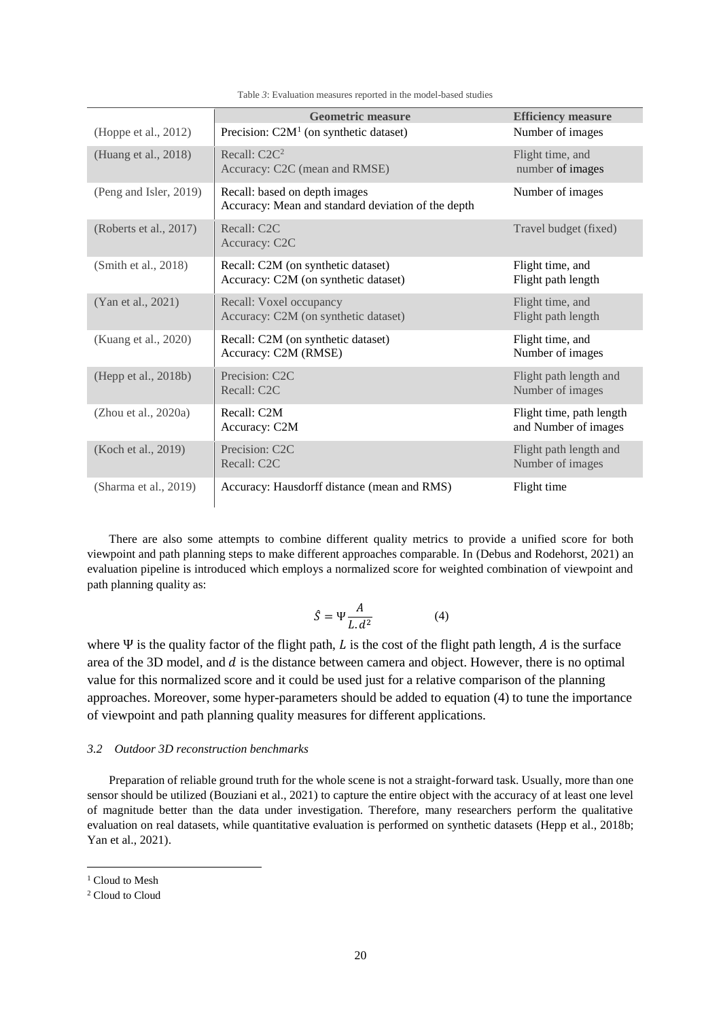<span id="page-19-1"></span>

|                        | <b>Geometric measure</b>                                                            | <b>Efficiency measure</b>                        |
|------------------------|-------------------------------------------------------------------------------------|--------------------------------------------------|
| (Hoppe et al., 2012)   | Precision: $C2M1$ (on synthetic dataset)                                            | Number of images                                 |
| (Huang et al., 2018)   | Recall: C2C <sup>2</sup><br>Accuracy: C2C (mean and RMSE)                           | Flight time, and<br>number of images             |
| (Peng and Isler, 2019) | Recall: based on depth images<br>Accuracy: Mean and standard deviation of the depth | Number of images                                 |
| (Roberts et al., 2017) | Recall: C2C<br>Accuracy: C2C                                                        | Travel budget (fixed)                            |
| (Smith et al., 2018)   | Recall: C2M (on synthetic dataset)<br>Accuracy: C2M (on synthetic dataset)          | Flight time, and<br>Flight path length           |
| (Yan et al., 2021)     | Recall: Voxel occupancy<br>Accuracy: C2M (on synthetic dataset)                     | Flight time, and<br>Flight path length           |
| (Kuang et al., 2020)   | Recall: C2M (on synthetic dataset)<br>Accuracy: C2M (RMSE)                          | Flight time, and<br>Number of images             |
| (Hepp et al., 2018b)   | Precision: C2C<br>Recall: C2C                                                       | Flight path length and<br>Number of images       |
| (Zhou et al., 2020a)   | Recall: C2M<br>Accuracy: C2M                                                        | Flight time, path length<br>and Number of images |
| (Koch et al., 2019)    | Precision: C2C<br>Recall: C2C                                                       | Flight path length and<br>Number of images       |
| (Sharma et al., 2019)  | Accuracy: Hausdorff distance (mean and RMS)                                         | Flight time                                      |

Table *3*: Evaluation measures reported in the model-based studies

There are also some attempts to combine different quality metrics to provide a unified score for both viewpoint and path planning steps to make different approaches comparable. In (Debus and Rodehorst, 2021) an evaluation pipeline is introduced which employs a normalized score for weighted combination of viewpoint and path planning quality as:

<span id="page-19-2"></span>
$$
\hat{S} = \Psi \frac{A}{L \cdot d^2} \tag{4}
$$

where  $\Psi$  is the quality factor of the flight path, L is the cost of the flight path length, A is the surface area of the 3D model, and  $d$  is the distance between camera and object. However, there is no optimal value for this normalized score and it could be used just for a relative comparison of the planning approaches. Moreover, some hyper-parameters should be added to equation [\(4\)](#page-19-2) to tune the importance of viewpoint and path planning quality measures for different applications.

# <span id="page-19-0"></span>*3.2 Outdoor 3D reconstruction benchmarks*

Preparation of reliable ground truth for the whole scene is not a straight-forward task. Usually, more than one sensor should be utilized (Bouziani et al., 2021) to capture the entire object with the accuracy of at least one level of magnitude better than the data under investigation. Therefore, many researchers perform the qualitative evaluation on real datasets, while quantitative evaluation is performed on synthetic datasets (Hepp et al., 2018b; Yan et al., 2021).

**.** 

<sup>&</sup>lt;sup>1</sup> Cloud to Mesh

<sup>2</sup> Cloud to Cloud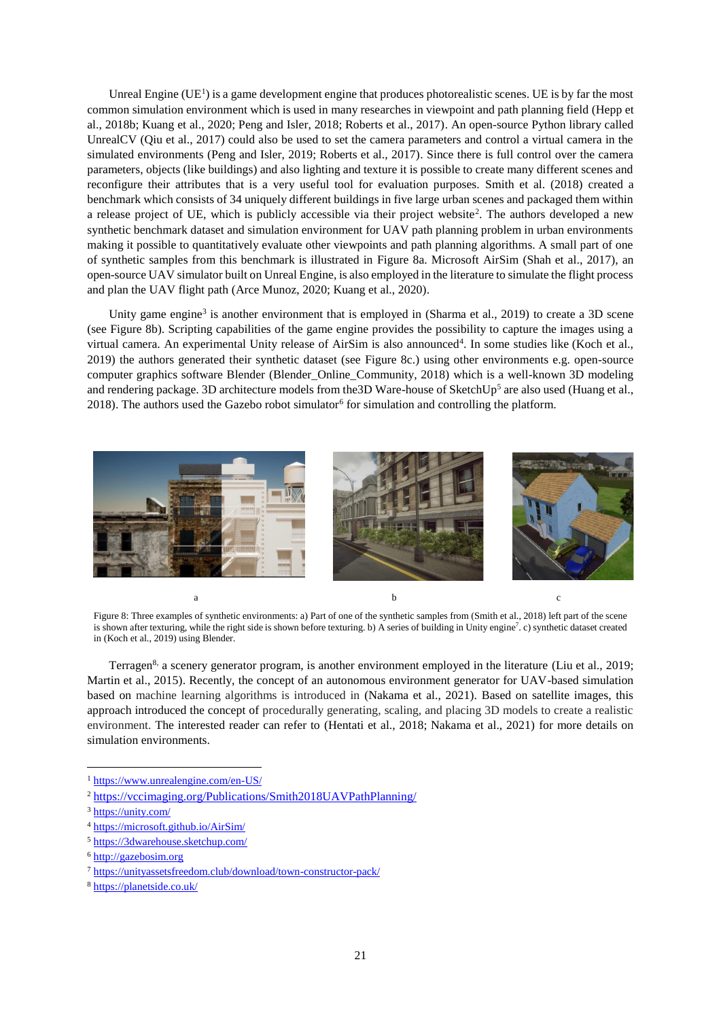Unreal Engine  $(UE<sup>1</sup>)$  is a game development engine that produces photorealistic scenes. UE is by far the most common simulation environment which is used in many researches in viewpoint and path planning field (Hepp et al., 2018b; Kuang et al., 2020; Peng and Isler, 2018; Roberts et al., 2017). An open-source Python library called UnrealCV (Qiu et al., 2017) could also be used to set the camera parameters and control a virtual camera in the simulated environments (Peng and Isler, 2019; Roberts et al., 2017). Since there is full control over the camera parameters, objects (like buildings) and also lighting and texture it is possible to create many different scenes and reconfigure their attributes that is a very useful tool for evaluation purposes. Smith et al. (2018) created a benchmark which consists of 34 uniquely different buildings in five large urban scenes and packaged them within a release project of UE, which is publicly accessible via their project website<sup>2</sup>. The authors developed a new synthetic benchmark dataset and simulation environment for UAV path planning problem in urban environments making it possible to quantitatively evaluate other viewpoints and path planning algorithms. A small part of one of synthetic samples from this benchmark is illustrated in [Figure 8a](#page-20-0). Microsoft AirSim (Shah et al., 2017), an open-source UAV simulator built on Unreal Engine, is also employed in the literature to simulate the flight process and plan the UAV flight path (Arce Munoz, 2020; Kuang et al., 2020).

Unity game engine<sup>3</sup> is another environment that is employed in (Sharma et al., 2019) to create a 3D scene (see [Figure 8b](#page-20-0)). Scripting capabilities of the game engine provides the possibility to capture the images using a virtual camera. An experimental Unity release of AirSim is also announced<sup>4</sup>. In some studies like (Koch et al., 2019) the authors generated their synthetic dataset (see [Figure 8c](#page-20-0).) using other environments e.g. open-source computer graphics software Blender (Blender\_Online\_Community, 2018) which is a well-known 3D modeling and rendering package. 3D architecture models from the 3D Ware-house of SketchUp<sup>5</sup> are also used (Huang et al., 2018). The authors used the Gazebo robot simulator<sup>6</sup> for simulation and controlling the platform.



Figure 8: Three examples of synthetic environments: a) Part of one of the synthetic samples from (Smith et al., 2018) left part of the scene is shown after texturing, while the right side is shown before texturing. b) A series of building in Unity engine<sup>7</sup> . c) synthetic dataset created in (Koch et al., 2019) using Blender.

<span id="page-20-0"></span>Terragen<sup>8,</sup> a scenery generator program, is another environment employed in the literature (Liu et al., 2019; Martin et al., 2015). Recently, the concept of an autonomous environment generator for UAV-based simulation based on machine learning algorithms is introduced in (Nakama et al., 2021). Based on satellite images, this approach introduced the concept of procedurally generating, scaling, and placing 3D models to create a realistic environment. The interested reader can refer to (Hentati et al., 2018; Nakama et al., 2021) for more details on simulation environments.

**.** 

<sup>1</sup> <https://www.unrealengine.com/en-US/>

<sup>2</sup> <https://vccimaging.org/Publications/Smith2018UAVPathPlanning/>

<sup>3</sup> <https://unity.com/>

<sup>4</sup> <https://microsoft.github.io/AirSim/>

<sup>5</sup> <https://3dwarehouse.sketchup.com/>

<sup>6</sup> [http://gazebosim.org](http://gazebosim.org/)

<sup>7</sup> <https://unityassetsfreedom.club/download/town-constructor-pack/>

<sup>8</sup> <https://planetside.co.uk/>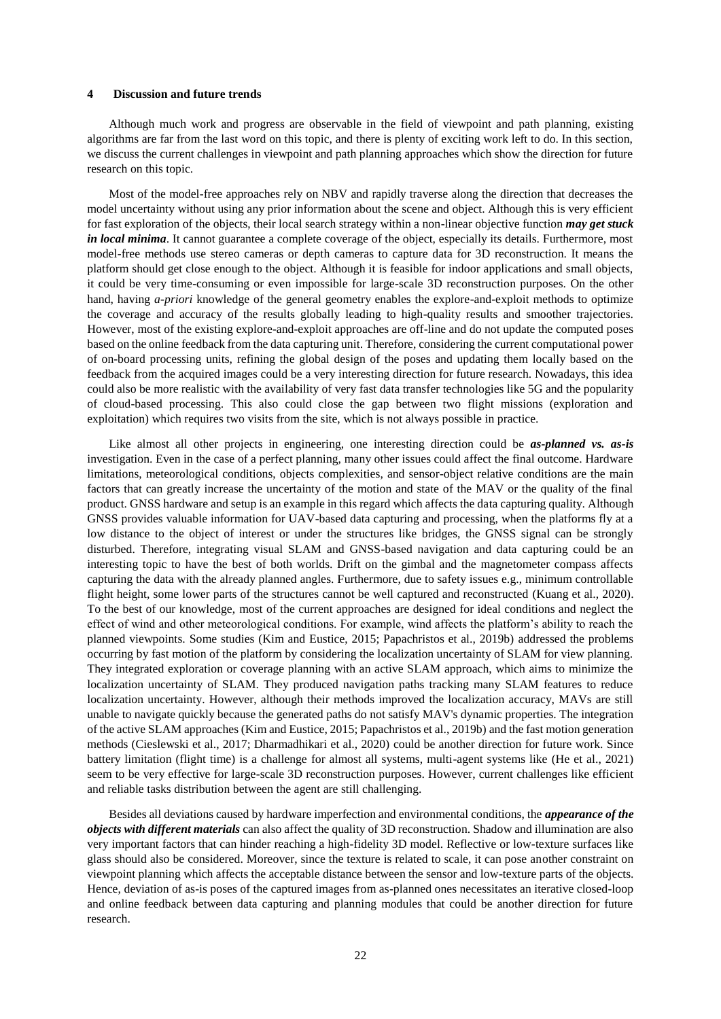## **4 Discussion and future trends**

Although much work and progress are observable in the field of viewpoint and path planning, existing algorithms are far from the last word on this topic, and there is plenty of exciting work left to do. In this section, we discuss the current challenges in viewpoint and path planning approaches which show the direction for future research on this topic.

Most of the model-free approaches rely on NBV and rapidly traverse along the direction that decreases the model uncertainty without using any prior information about the scene and object. Although this is very efficient for fast exploration of the objects, their local search strategy within a non-linear objective function *may get stuck in local minima*. It cannot guarantee a complete coverage of the object, especially its details. Furthermore, most model-free methods use stereo cameras or depth cameras to capture data for 3D reconstruction. It means the platform should get close enough to the object. Although it is feasible for indoor applications and small objects, it could be very time-consuming or even impossible for large-scale 3D reconstruction purposes. On the other hand, having *a-priori* knowledge of the general geometry enables the explore-and-exploit methods to optimize the coverage and accuracy of the results globally leading to high-quality results and smoother trajectories. However, most of the existing explore-and-exploit approaches are off-line and do not update the computed poses based on the online feedback from the data capturing unit. Therefore, considering the current computational power of on-board processing units, refining the global design of the poses and updating them locally based on the feedback from the acquired images could be a very interesting direction for future research. Nowadays, this idea could also be more realistic with the availability of very fast data transfer technologies like 5G and the popularity of cloud-based processing. This also could close the gap between two flight missions (exploration and exploitation) which requires two visits from the site, which is not always possible in practice.

Like almost all other projects in engineering, one interesting direction could be *as-planned vs. as-is*  investigation. Even in the case of a perfect planning, many other issues could affect the final outcome. Hardware limitations, meteorological conditions, objects complexities, and sensor-object relative conditions are the main factors that can greatly increase the uncertainty of the motion and state of the MAV or the quality of the final product. GNSS hardware and setup is an example in this regard which affects the data capturing quality. Although GNSS provides valuable information for UAV-based data capturing and processing, when the platforms fly at a low distance to the object of interest or under the structures like bridges, the GNSS signal can be strongly disturbed. Therefore, integrating visual SLAM and GNSS-based navigation and data capturing could be an interesting topic to have the best of both worlds. Drift on the gimbal and the magnetometer compass affects capturing the data with the already planned angles. Furthermore, due to safety issues e.g., minimum controllable flight height, some lower parts of the structures cannot be well captured and reconstructed (Kuang et al., 2020). To the best of our knowledge, most of the current approaches are designed for ideal conditions and neglect the effect of wind and other meteorological conditions. For example, wind affects the platform's ability to reach the planned viewpoints. Some studies (Kim and Eustice, 2015; Papachristos et al., 2019b) addressed the problems occurring by fast motion of the platform by considering the localization uncertainty of SLAM for view planning. They integrated exploration or coverage planning with an active SLAM approach, which aims to minimize the localization uncertainty of SLAM. They produced navigation paths tracking many SLAM features to reduce localization uncertainty. However, although their methods improved the localization accuracy, MAVs are still unable to navigate quickly because the generated paths do not satisfy MAV's dynamic properties. The integration of the active SLAM approaches (Kim and Eustice, 2015; Papachristos et al., 2019b) and the fast motion generation methods (Cieslewski et al., 2017; Dharmadhikari et al., 2020) could be another direction for future work. Since battery limitation (flight time) is a challenge for almost all systems, multi-agent systems like (He et al., 2021) seem to be very effective for large-scale 3D reconstruction purposes. However, current challenges like efficient and reliable tasks distribution between the agent are still challenging.

Besides all deviations caused by hardware imperfection and environmental conditions, the *appearance of the objects with different materials* can also affect the quality of 3D reconstruction. Shadow and illumination are also very important factors that can hinder reaching a high-fidelity 3D model. Reflective or low-texture surfaces like glass should also be considered. Moreover, since the texture is related to scale, it can pose another constraint on viewpoint planning which affects the acceptable distance between the sensor and low-texture parts of the objects. Hence, deviation of as-is poses of the captured images from as-planned ones necessitates an iterative closed-loop and online feedback between data capturing and planning modules that could be another direction for future research.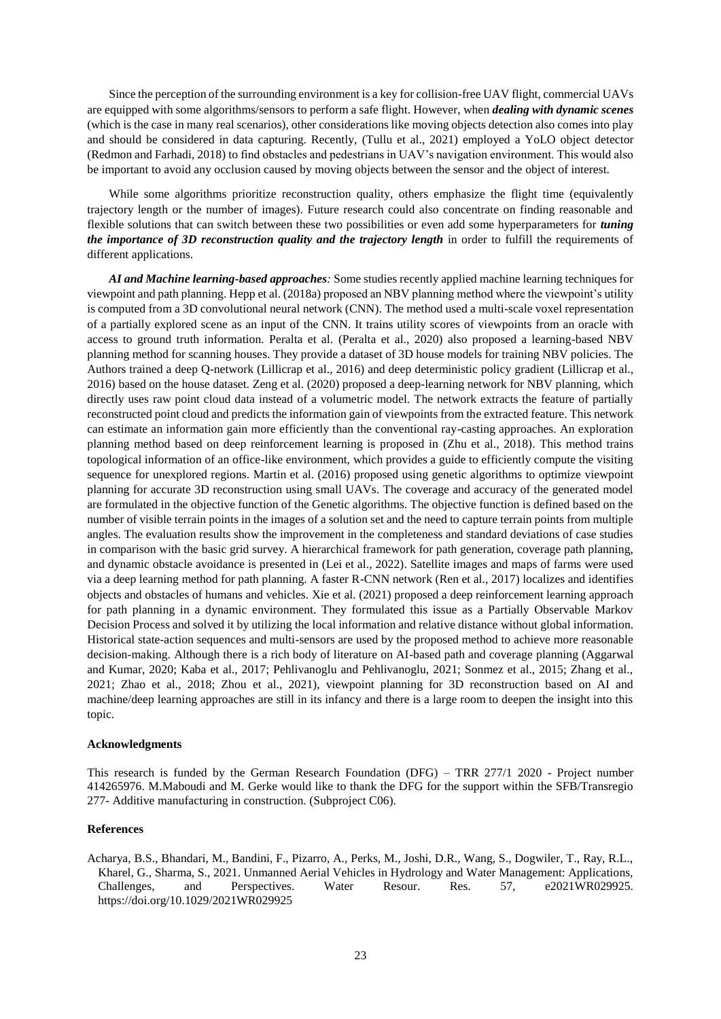Since the perception of the surrounding environment is a key for collision-free UAV flight, commercial UAVs are equipped with some algorithms/sensors to perform a safe flight. However, when *dealing with dynamic scenes* (which is the case in many real scenarios), other considerations like moving objects detection also comes into play and should be considered in data capturing. Recently, (Tullu et al., 2021) employed a YoLO object detector (Redmon and Farhadi, 2018) to find obstacles and pedestrians in UAV's navigation environment. This would also be important to avoid any occlusion caused by moving objects between the sensor and the object of interest.

While some algorithms prioritize reconstruction quality, others emphasize the flight time (equivalently trajectory length or the number of images). Future research could also concentrate on finding reasonable and flexible solutions that can switch between these two possibilities or even add some hyperparameters for *tuning the importance of 3D reconstruction quality and the trajectory length* in order to fulfill the requirements of different applications.

*AI and Machine learning-based approaches:* Some studies recently applied machine learning techniques for viewpoint and path planning. Hepp et al. (2018a) proposed an NBV planning method where the viewpoint's utility is computed from a 3D convolutional neural network (CNN). The method used a multi-scale voxel representation of a partially explored scene as an input of the CNN. It trains utility scores of viewpoints from an oracle with access to ground truth information. Peralta et al. (Peralta et al., 2020) also proposed a learning-based NBV planning method for scanning houses. They provide a dataset of 3D house models for training NBV policies. The Authors trained a deep Q-network (Lillicrap et al., 2016) and deep deterministic policy gradient (Lillicrap et al., 2016) based on the house dataset. Zeng et al. (2020) proposed a deep-learning network for NBV planning, which directly uses raw point cloud data instead of a volumetric model. The network extracts the feature of partially reconstructed point cloud and predicts the information gain of viewpoints from the extracted feature. This network can estimate an information gain more efficiently than the conventional ray-casting approaches. An exploration planning method based on deep reinforcement learning is proposed in (Zhu et al., 2018). This method trains topological information of an office-like environment, which provides a guide to efficiently compute the visiting sequence for unexplored regions. Martin et al. (2016) proposed using genetic algorithms to optimize viewpoint planning for accurate 3D reconstruction using small UAVs. The coverage and accuracy of the generated model are formulated in the objective function of the Genetic algorithms. The objective function is defined based on the number of visible terrain points in the images of a solution set and the need to capture terrain points from multiple angles. The evaluation results show the improvement in the completeness and standard deviations of case studies in comparison with the basic grid survey. A hierarchical framework for path generation, coverage path planning, and dynamic obstacle avoidance is presented in (Lei et al., 2022). Satellite images and maps of farms were used via a deep learning method for path planning. A faster R-CNN network (Ren et al., 2017) localizes and identifies objects and obstacles of humans and vehicles. Xie et al. (2021) proposed a deep reinforcement learning approach for path planning in a dynamic environment. They formulated this issue as a Partially Observable Markov Decision Process and solved it by utilizing the local information and relative distance without global information. Historical state-action sequences and multi-sensors are used by the proposed method to achieve more reasonable decision-making. Although there is a rich body of literature on AI-based path and coverage planning (Aggarwal and Kumar, 2020; Kaba et al., 2017; Pehlivanoglu and Pehlivanoglu, 2021; Sonmez et al., 2015; Zhang et al., 2021; Zhao et al., 2018; Zhou et al., 2021), viewpoint planning for 3D reconstruction based on AI and machine/deep learning approaches are still in its infancy and there is a large room to deepen the insight into this topic.

## **Acknowledgments**

This research is funded by the German Research Foundation (DFG) – TRR 277/1 2020 - Project number 414265976. M.Maboudi and M. Gerke would like to thank the DFG for the support within the SFB/Transregio 277- Additive manufacturing in construction. (Subproject C06).

# **References**

Acharya, B.S., Bhandari, M., Bandini, F., Pizarro, A., Perks, M., Joshi, D.R., Wang, S., Dogwiler, T., Ray, R.L., Kharel, G., Sharma, S., 2021. Unmanned Aerial Vehicles in Hydrology and Water Management: Applications, Challenges, and Perspectives. Water Resour. Res. 57, e2021WR029925. https://doi.org/10.1029/2021WR029925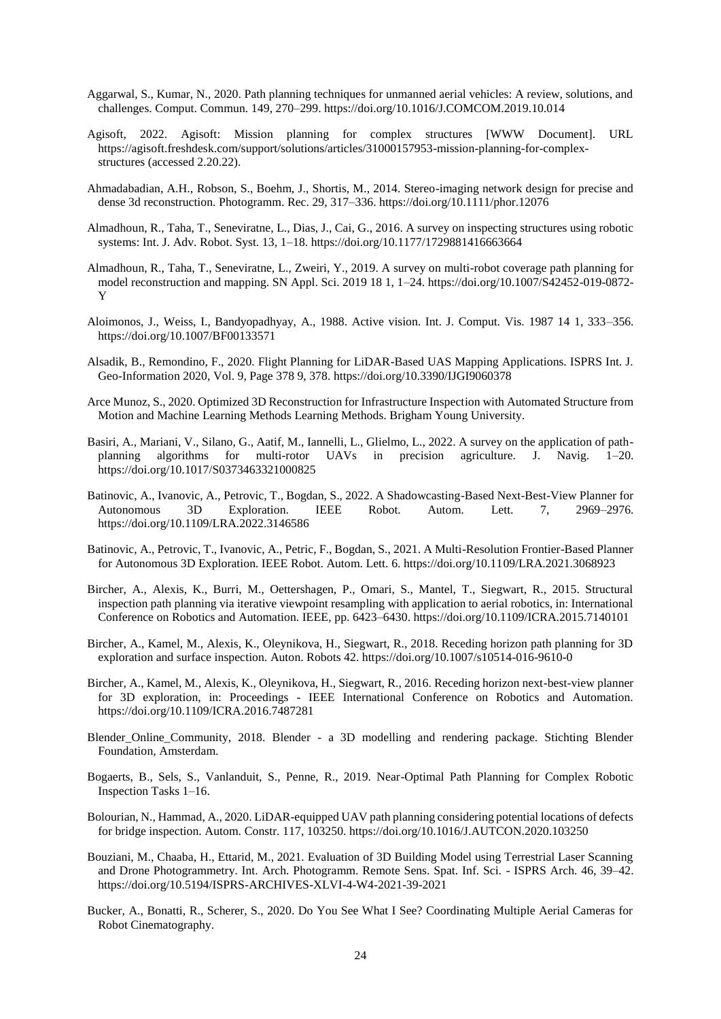- Aggarwal, S., Kumar, N., 2020. Path planning techniques for unmanned aerial vehicles: A review, solutions, and challenges. Comput. Commun. 149, 270–299. https://doi.org/10.1016/J.COMCOM.2019.10.014
- Agisoft, 2022. Agisoft: Mission planning for complex structures [WWW Document]. URL https://agisoft.freshdesk.com/support/solutions/articles/31000157953-mission-planning-for-complexstructures (accessed 2.20.22).
- Ahmadabadian, A.H., Robson, S., Boehm, J., Shortis, M., 2014. Stereo-imaging network design for precise and dense 3d reconstruction. Photogramm. Rec. 29, 317–336. https://doi.org/10.1111/phor.12076
- Almadhoun, R., Taha, T., Seneviratne, L., Dias, J., Cai, G., 2016. A survey on inspecting structures using robotic systems: Int. J. Adv. Robot. Syst. 13, 1–18. https://doi.org/10.1177/1729881416663664
- Almadhoun, R., Taha, T., Seneviratne, L., Zweiri, Y., 2019. A survey on multi-robot coverage path planning for model reconstruction and mapping. SN Appl. Sci. 2019 18 1, 1–24. https://doi.org/10.1007/S42452-019-0872- Y
- Aloimonos, J., Weiss, I., Bandyopadhyay, A., 1988. Active vision. Int. J. Comput. Vis. 1987 14 1, 333–356. https://doi.org/10.1007/BF00133571
- Alsadik, B., Remondino, F., 2020. Flight Planning for LiDAR-Based UAS Mapping Applications. ISPRS Int. J. Geo-Information 2020, Vol. 9, Page 378 9, 378. https://doi.org/10.3390/IJGI9060378
- Arce Munoz, S., 2020. Optimized 3D Reconstruction for Infrastructure Inspection with Automated Structure from Motion and Machine Learning Methods Learning Methods. Brigham Young University.
- Basiri, A., Mariani, V., Silano, G., Aatif, M., Iannelli, L., Glielmo, L., 2022. A survey on the application of pathplanning algorithms for multi-rotor UAVs in precision agriculture. J. Navig. 1–20. https://doi.org/10.1017/S0373463321000825
- Batinovic, A., Ivanovic, A., Petrovic, T., Bogdan, S., 2022. A Shadowcasting-Based Next-Best-View Planner for Autonomous 3D Exploration. IEEE Robot. Autom. Lett. 7, 2969–2976. https://doi.org/10.1109/LRA.2022.3146586
- Batinovic, A., Petrovic, T., Ivanovic, A., Petric, F., Bogdan, S., 2021. A Multi-Resolution Frontier-Based Planner for Autonomous 3D Exploration. IEEE Robot. Autom. Lett. 6. https://doi.org/10.1109/LRA.2021.3068923
- Bircher, A., Alexis, K., Burri, M., Oettershagen, P., Omari, S., Mantel, T., Siegwart, R., 2015. Structural inspection path planning via iterative viewpoint resampling with application to aerial robotics, in: International Conference on Robotics and Automation. IEEE, pp. 6423–6430. https://doi.org/10.1109/ICRA.2015.7140101
- Bircher, A., Kamel, M., Alexis, K., Oleynikova, H., Siegwart, R., 2018. Receding horizon path planning for 3D exploration and surface inspection. Auton. Robots 42. https://doi.org/10.1007/s10514-016-9610-0
- Bircher, A., Kamel, M., Alexis, K., Oleynikova, H., Siegwart, R., 2016. Receding horizon next-best-view planner for 3D exploration, in: Proceedings - IEEE International Conference on Robotics and Automation. https://doi.org/10.1109/ICRA.2016.7487281
- Blender\_Online\_Community, 2018. Blender a 3D modelling and rendering package. Stichting Blender Foundation, Amsterdam.
- Bogaerts, B., Sels, S., Vanlanduit, S., Penne, R., 2019. Near-Optimal Path Planning for Complex Robotic Inspection Tasks 1–16.
- Bolourian, N., Hammad, A., 2020. LiDAR-equipped UAV path planning considering potential locations of defects for bridge inspection. Autom. Constr. 117, 103250. https://doi.org/10.1016/J.AUTCON.2020.103250
- Bouziani, M., Chaaba, H., Ettarid, M., 2021. Evaluation of 3D Building Model using Terrestrial Laser Scanning and Drone Photogrammetry. Int. Arch. Photogramm. Remote Sens. Spat. Inf. Sci. - ISPRS Arch. 46, 39–42. https://doi.org/10.5194/ISPRS-ARCHIVES-XLVI-4-W4-2021-39-2021
- Bucker, A., Bonatti, R., Scherer, S., 2020. Do You See What I See? Coordinating Multiple Aerial Cameras for Robot Cinematography.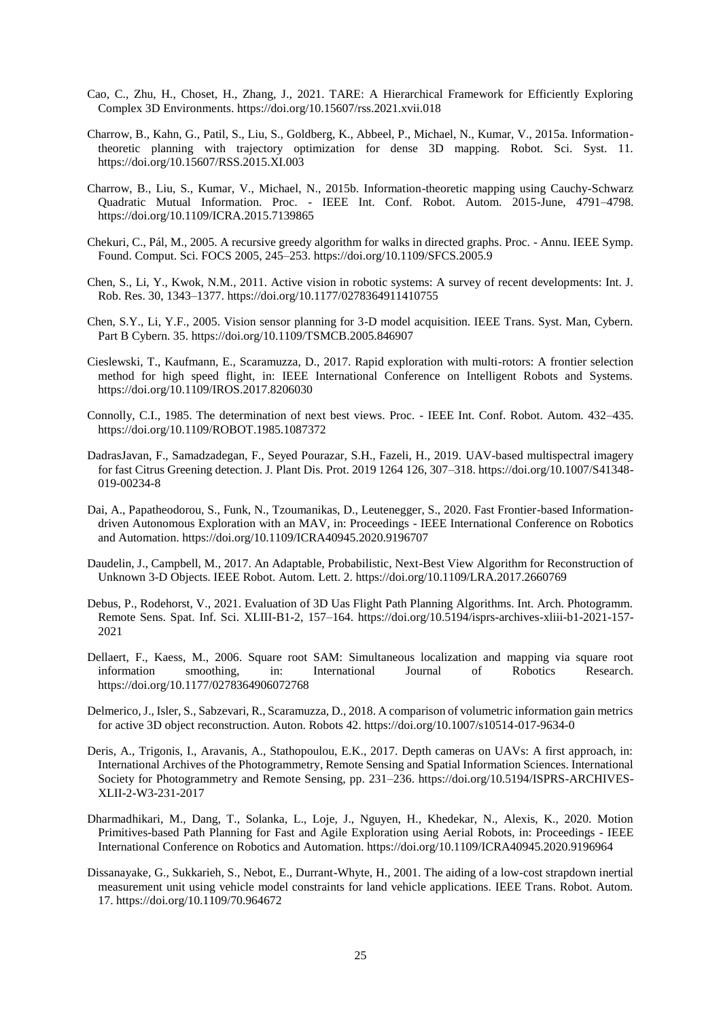- Cao, C., Zhu, H., Choset, H., Zhang, J., 2021. TARE: A Hierarchical Framework for Efficiently Exploring Complex 3D Environments. https://doi.org/10.15607/rss.2021.xvii.018
- Charrow, B., Kahn, G., Patil, S., Liu, S., Goldberg, K., Abbeel, P., Michael, N., Kumar, V., 2015a. Informationtheoretic planning with trajectory optimization for dense 3D mapping. Robot. Sci. Syst. 11. https://doi.org/10.15607/RSS.2015.XI.003
- Charrow, B., Liu, S., Kumar, V., Michael, N., 2015b. Information-theoretic mapping using Cauchy-Schwarz Quadratic Mutual Information. Proc. - IEEE Int. Conf. Robot. Autom. 2015-June, 4791–4798. https://doi.org/10.1109/ICRA.2015.7139865
- Chekuri, C., Pál, M., 2005. A recursive greedy algorithm for walks in directed graphs. Proc. Annu. IEEE Symp. Found. Comput. Sci. FOCS 2005, 245–253. https://doi.org/10.1109/SFCS.2005.9
- Chen, S., Li, Y., Kwok, N.M., 2011. Active vision in robotic systems: A survey of recent developments: Int. J. Rob. Res. 30, 1343–1377. https://doi.org/10.1177/0278364911410755
- Chen, S.Y., Li, Y.F., 2005. Vision sensor planning for 3-D model acquisition. IEEE Trans. Syst. Man, Cybern. Part B Cybern. 35. https://doi.org/10.1109/TSMCB.2005.846907
- Cieslewski, T., Kaufmann, E., Scaramuzza, D., 2017. Rapid exploration with multi-rotors: A frontier selection method for high speed flight, in: IEEE International Conference on Intelligent Robots and Systems. https://doi.org/10.1109/IROS.2017.8206030
- Connolly, C.I., 1985. The determination of next best views. Proc. IEEE Int. Conf. Robot. Autom. 432–435. https://doi.org/10.1109/ROBOT.1985.1087372
- DadrasJavan, F., Samadzadegan, F., Seyed Pourazar, S.H., Fazeli, H., 2019. UAV-based multispectral imagery for fast Citrus Greening detection. J. Plant Dis. Prot. 2019 1264 126, 307–318. https://doi.org/10.1007/S41348- 019-00234-8
- Dai, A., Papatheodorou, S., Funk, N., Tzoumanikas, D., Leutenegger, S., 2020. Fast Frontier-based Informationdriven Autonomous Exploration with an MAV, in: Proceedings - IEEE International Conference on Robotics and Automation. https://doi.org/10.1109/ICRA40945.2020.9196707
- Daudelin, J., Campbell, M., 2017. An Adaptable, Probabilistic, Next-Best View Algorithm for Reconstruction of Unknown 3-D Objects. IEEE Robot. Autom. Lett. 2. https://doi.org/10.1109/LRA.2017.2660769
- Debus, P., Rodehorst, V., 2021. Evaluation of 3D Uas Flight Path Planning Algorithms. Int. Arch. Photogramm. Remote Sens. Spat. Inf. Sci. XLIII-B1-2, 157–164. https://doi.org/10.5194/isprs-archives-xliii-b1-2021-157- 2021
- Dellaert, F., Kaess, M., 2006. Square root SAM: Simultaneous localization and mapping via square root information smoothing, in: International Journal of Robotics Research. https://doi.org/10.1177/0278364906072768
- Delmerico, J., Isler, S., Sabzevari, R., Scaramuzza, D., 2018. A comparison of volumetric information gain metrics for active 3D object reconstruction. Auton. Robots 42. https://doi.org/10.1007/s10514-017-9634-0
- Deris, A., Trigonis, I., Aravanis, A., Stathopoulou, E.K., 2017. Depth cameras on UAVs: A first approach, in: International Archives of the Photogrammetry, Remote Sensing and Spatial Information Sciences. International Society for Photogrammetry and Remote Sensing, pp. 231–236. https://doi.org/10.5194/ISPRS-ARCHIVES-XLII-2-W3-231-2017
- Dharmadhikari, M., Dang, T., Solanka, L., Loje, J., Nguyen, H., Khedekar, N., Alexis, K., 2020. Motion Primitives-based Path Planning for Fast and Agile Exploration using Aerial Robots, in: Proceedings - IEEE International Conference on Robotics and Automation. https://doi.org/10.1109/ICRA40945.2020.9196964
- Dissanayake, G., Sukkarieh, S., Nebot, E., Durrant-Whyte, H., 2001. The aiding of a low-cost strapdown inertial measurement unit using vehicle model constraints for land vehicle applications. IEEE Trans. Robot. Autom. 17. https://doi.org/10.1109/70.964672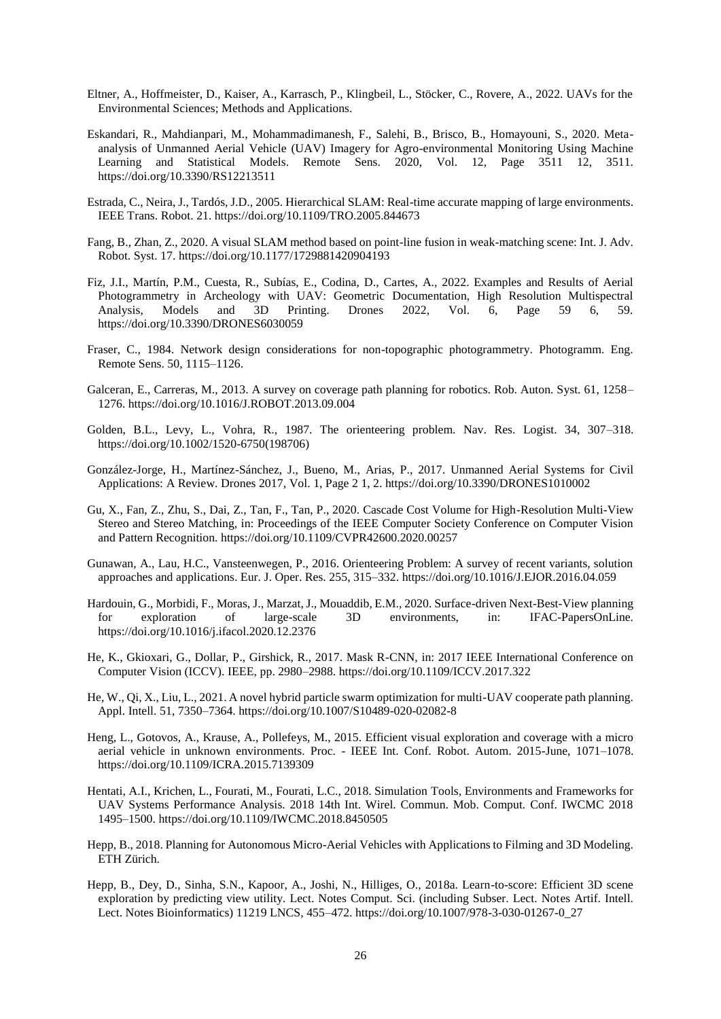- Eltner, A., Hoffmeister, D., Kaiser, A., Karrasch, P., Klingbeil, L., Stöcker, C., Rovere, A., 2022. UAVs for the Environmental Sciences; Methods and Applications.
- Eskandari, R., Mahdianpari, M., Mohammadimanesh, F., Salehi, B., Brisco, B., Homayouni, S., 2020. Metaanalysis of Unmanned Aerial Vehicle (UAV) Imagery for Agro-environmental Monitoring Using Machine Learning and Statistical Models. Remote Sens. 2020, Vol. 12, Page 3511 12, 3511. https://doi.org/10.3390/RS12213511
- Estrada, C., Neira, J., Tardós, J.D., 2005. Hierarchical SLAM: Real-time accurate mapping of large environments. IEEE Trans. Robot. 21. https://doi.org/10.1109/TRO.2005.844673
- Fang, B., Zhan, Z., 2020. A visual SLAM method based on point-line fusion in weak-matching scene: Int. J. Adv. Robot. Syst. 17. https://doi.org/10.1177/1729881420904193
- Fiz, J.I., Martín, P.M., Cuesta, R., Subías, E., Codina, D., Cartes, A., 2022. Examples and Results of Aerial Photogrammetry in Archeology with UAV: Geometric Documentation, High Resolution Multispectral Analysis, Models and 3D Printing. Drones 2022, Vol. 6, Page 59 6, 59. https://doi.org/10.3390/DRONES6030059
- Fraser, C., 1984. Network design considerations for non-topographic photogrammetry. Photogramm. Eng. Remote Sens. 50, 1115–1126.
- Galceran, E., Carreras, M., 2013. A survey on coverage path planning for robotics. Rob. Auton. Syst. 61, 1258– 1276. https://doi.org/10.1016/J.ROBOT.2013.09.004
- Golden, B.L., Levy, L., Vohra, R., 1987. The orienteering problem. Nav. Res. Logist. 34, 307–318. https://doi.org/10.1002/1520-6750(198706)
- González-Jorge, H., Martínez-Sánchez, J., Bueno, M., Arias, P., 2017. Unmanned Aerial Systems for Civil Applications: A Review. Drones 2017, Vol. 1, Page 2 1, 2. https://doi.org/10.3390/DRONES1010002
- Gu, X., Fan, Z., Zhu, S., Dai, Z., Tan, F., Tan, P., 2020. Cascade Cost Volume for High-Resolution Multi-View Stereo and Stereo Matching, in: Proceedings of the IEEE Computer Society Conference on Computer Vision and Pattern Recognition. https://doi.org/10.1109/CVPR42600.2020.00257
- Gunawan, A., Lau, H.C., Vansteenwegen, P., 2016. Orienteering Problem: A survey of recent variants, solution approaches and applications. Eur. J. Oper. Res. 255, 315–332. https://doi.org/10.1016/J.EJOR.2016.04.059
- Hardouin, G., Morbidi, F., Moras, J., Marzat, J., Mouaddib, E.M., 2020. Surface-driven Next-Best-View planning for exploration of large-scale 3D environments, in: IFAC-PapersOnLine. https://doi.org/10.1016/j.ifacol.2020.12.2376
- He, K., Gkioxari, G., Dollar, P., Girshick, R., 2017. Mask R-CNN, in: 2017 IEEE International Conference on Computer Vision (ICCV). IEEE, pp. 2980–2988. https://doi.org/10.1109/ICCV.2017.322
- He, W., Qi, X., Liu, L., 2021. A novel hybrid particle swarm optimization for multi-UAV cooperate path planning. Appl. Intell. 51, 7350–7364. https://doi.org/10.1007/S10489-020-02082-8
- Heng, L., Gotovos, A., Krause, A., Pollefeys, M., 2015. Efficient visual exploration and coverage with a micro aerial vehicle in unknown environments. Proc. - IEEE Int. Conf. Robot. Autom. 2015-June, 1071–1078. https://doi.org/10.1109/ICRA.2015.7139309
- Hentati, A.I., Krichen, L., Fourati, M., Fourati, L.C., 2018. Simulation Tools, Environments and Frameworks for UAV Systems Performance Analysis. 2018 14th Int. Wirel. Commun. Mob. Comput. Conf. IWCMC 2018 1495–1500. https://doi.org/10.1109/IWCMC.2018.8450505
- Hepp, B., 2018. Planning for Autonomous Micro-Aerial Vehicles with Applications to Filming and 3D Modeling. ETH Zürich.
- Hepp, B., Dey, D., Sinha, S.N., Kapoor, A., Joshi, N., Hilliges, O., 2018a. Learn-to-score: Efficient 3D scene exploration by predicting view utility. Lect. Notes Comput. Sci. (including Subser. Lect. Notes Artif. Intell. Lect. Notes Bioinformatics) 11219 LNCS, 455–472. https://doi.org/10.1007/978-3-030-01267-0\_27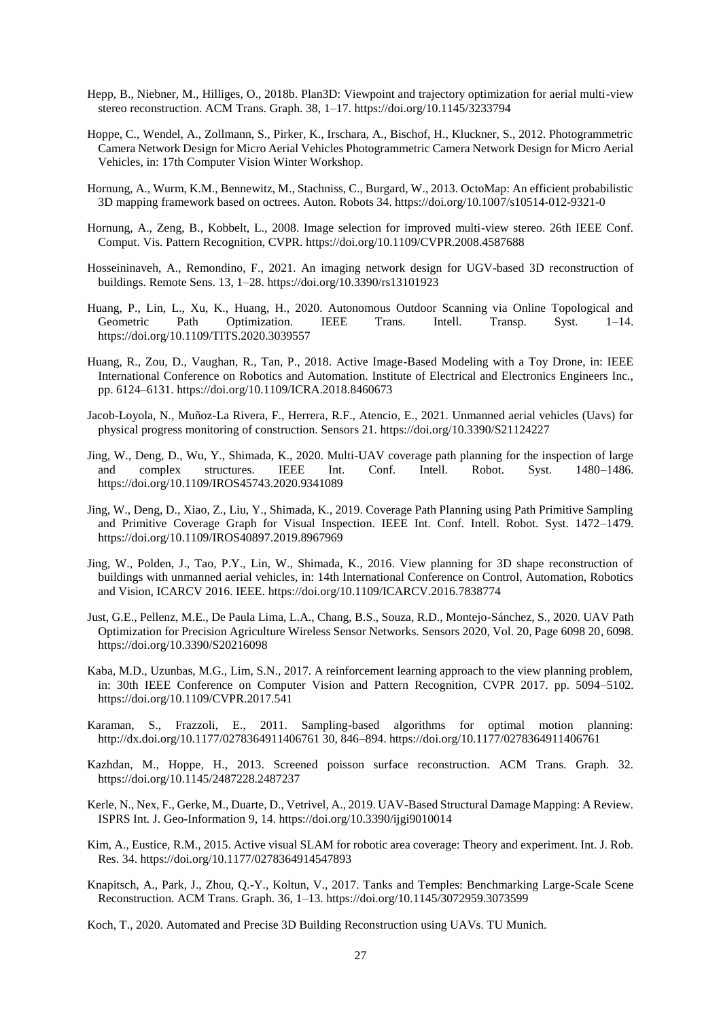- Hepp, B., Niebner, M., Hilliges, O., 2018b. Plan3D: Viewpoint and trajectory optimization for aerial multi-view stereo reconstruction. ACM Trans. Graph. 38, 1–17. https://doi.org/10.1145/3233794
- Hoppe, C., Wendel, A., Zollmann, S., Pirker, K., Irschara, A., Bischof, H., Kluckner, S., 2012. Photogrammetric Camera Network Design for Micro Aerial Vehicles Photogrammetric Camera Network Design for Micro Aerial Vehicles, in: 17th Computer Vision Winter Workshop.
- Hornung, A., Wurm, K.M., Bennewitz, M., Stachniss, C., Burgard, W., 2013. OctoMap: An efficient probabilistic 3D mapping framework based on octrees. Auton. Robots 34. https://doi.org/10.1007/s10514-012-9321-0
- Hornung, A., Zeng, B., Kobbelt, L., 2008. Image selection for improved multi-view stereo. 26th IEEE Conf. Comput. Vis. Pattern Recognition, CVPR. https://doi.org/10.1109/CVPR.2008.4587688
- Hosseininaveh, A., Remondino, F., 2021. An imaging network design for UGV-based 3D reconstruction of buildings. Remote Sens. 13, 1–28. https://doi.org/10.3390/rs13101923
- Huang, P., Lin, L., Xu, K., Huang, H., 2020. Autonomous Outdoor Scanning via Online Topological and Geometric Path Optimization. IEEE Trans. Intell. Transp. Syst. 1–14. https://doi.org/10.1109/TITS.2020.3039557
- Huang, R., Zou, D., Vaughan, R., Tan, P., 2018. Active Image-Based Modeling with a Toy Drone, in: IEEE International Conference on Robotics and Automation. Institute of Electrical and Electronics Engineers Inc., pp. 6124–6131. https://doi.org/10.1109/ICRA.2018.8460673
- Jacob-Loyola, N., Muñoz-La Rivera, F., Herrera, R.F., Atencio, E., 2021. Unmanned aerial vehicles (Uavs) for physical progress monitoring of construction. Sensors 21. https://doi.org/10.3390/S21124227
- Jing, W., Deng, D., Wu, Y., Shimada, K., 2020. Multi-UAV coverage path planning for the inspection of large and complex structures. IEEE Int. Conf. Intell. Robot. Syst. 1480–1486. https://doi.org/10.1109/IROS45743.2020.9341089
- Jing, W., Deng, D., Xiao, Z., Liu, Y., Shimada, K., 2019. Coverage Path Planning using Path Primitive Sampling and Primitive Coverage Graph for Visual Inspection. IEEE Int. Conf. Intell. Robot. Syst. 1472–1479. https://doi.org/10.1109/IROS40897.2019.8967969
- Jing, W., Polden, J., Tao, P.Y., Lin, W., Shimada, K., 2016. View planning for 3D shape reconstruction of buildings with unmanned aerial vehicles, in: 14th International Conference on Control, Automation, Robotics and Vision, ICARCV 2016. IEEE. https://doi.org/10.1109/ICARCV.2016.7838774
- Just, G.E., Pellenz, M.E., De Paula Lima, L.A., Chang, B.S., Souza, R.D., Montejo-Sánchez, S., 2020. UAV Path Optimization for Precision Agriculture Wireless Sensor Networks. Sensors 2020, Vol. 20, Page 6098 20, 6098. https://doi.org/10.3390/S20216098
- Kaba, M.D., Uzunbas, M.G., Lim, S.N., 2017. A reinforcement learning approach to the view planning problem, in: 30th IEEE Conference on Computer Vision and Pattern Recognition, CVPR 2017. pp. 5094–5102. https://doi.org/10.1109/CVPR.2017.541
- Karaman, S., Frazzoli, E., 2011. Sampling-based algorithms for optimal motion planning: http://dx.doi.org/10.1177/0278364911406761 30, 846–894. https://doi.org/10.1177/0278364911406761
- Kazhdan, M., Hoppe, H., 2013. Screened poisson surface reconstruction. ACM Trans. Graph. 32. https://doi.org/10.1145/2487228.2487237
- Kerle, N., Nex, F., Gerke, M., Duarte, D., Vetrivel, A., 2019. UAV-Based Structural Damage Mapping: A Review. ISPRS Int. J. Geo-Information 9, 14. https://doi.org/10.3390/ijgi9010014
- Kim, A., Eustice, R.M., 2015. Active visual SLAM for robotic area coverage: Theory and experiment. Int. J. Rob. Res. 34. https://doi.org/10.1177/0278364914547893
- Knapitsch, A., Park, J., Zhou, Q.-Y., Koltun, V., 2017. Tanks and Temples: Benchmarking Large-Scale Scene Reconstruction. ACM Trans. Graph. 36, 1–13. https://doi.org/10.1145/3072959.3073599
- Koch, T., 2020. Automated and Precise 3D Building Reconstruction using UAVs. TU Munich.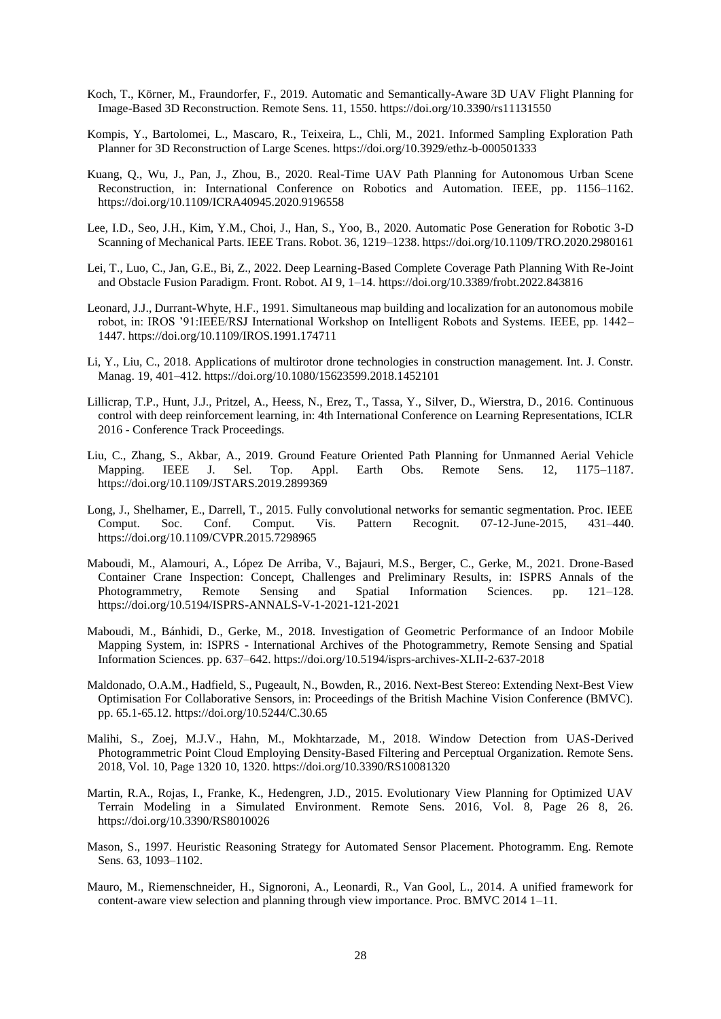- Koch, T., Körner, M., Fraundorfer, F., 2019. Automatic and Semantically-Aware 3D UAV Flight Planning for Image-Based 3D Reconstruction. Remote Sens. 11, 1550. https://doi.org/10.3390/rs11131550
- Kompis, Y., Bartolomei, L., Mascaro, R., Teixeira, L., Chli, M., 2021. Informed Sampling Exploration Path Planner for 3D Reconstruction of Large Scenes. https://doi.org/10.3929/ethz-b-000501333
- Kuang, Q., Wu, J., Pan, J., Zhou, B., 2020. Real-Time UAV Path Planning for Autonomous Urban Scene Reconstruction, in: International Conference on Robotics and Automation. IEEE, pp. 1156–1162. https://doi.org/10.1109/ICRA40945.2020.9196558
- Lee, I.D., Seo, J.H., Kim, Y.M., Choi, J., Han, S., Yoo, B., 2020. Automatic Pose Generation for Robotic 3-D Scanning of Mechanical Parts. IEEE Trans. Robot. 36, 1219–1238. https://doi.org/10.1109/TRO.2020.2980161
- Lei, T., Luo, C., Jan, G.E., Bi, Z., 2022. Deep Learning-Based Complete Coverage Path Planning With Re-Joint and Obstacle Fusion Paradigm. Front. Robot. AI 9, 1–14. https://doi.org/10.3389/frobt.2022.843816
- Leonard, J.J., Durrant-Whyte, H.F., 1991. Simultaneous map building and localization for an autonomous mobile robot, in: IROS '91:IEEE/RSJ International Workshop on Intelligent Robots and Systems. IEEE, pp. 1442– 1447. https://doi.org/10.1109/IROS.1991.174711
- Li, Y., Liu, C., 2018. Applications of multirotor drone technologies in construction management. Int. J. Constr. Manag. 19, 401–412. https://doi.org/10.1080/15623599.2018.1452101
- Lillicrap, T.P., Hunt, J.J., Pritzel, A., Heess, N., Erez, T., Tassa, Y., Silver, D., Wierstra, D., 2016. Continuous control with deep reinforcement learning, in: 4th International Conference on Learning Representations, ICLR 2016 - Conference Track Proceedings.
- Liu, C., Zhang, S., Akbar, A., 2019. Ground Feature Oriented Path Planning for Unmanned Aerial Vehicle Mapping. IEEE J. Sel. Top. Appl. Earth Obs. Remote Sens. 12, 1175–1187. https://doi.org/10.1109/JSTARS.2019.2899369
- Long, J., Shelhamer, E., Darrell, T., 2015. Fully convolutional networks for semantic segmentation. Proc. IEEE Comput. Soc. Conf. Comput. Vis. Pattern Recognit. 07-12-June-2015, 431–440. https://doi.org/10.1109/CVPR.2015.7298965
- Maboudi, M., Alamouri, A., López De Arriba, V., Bajauri, M.S., Berger, C., Gerke, M., 2021. Drone-Based Container Crane Inspection: Concept, Challenges and Preliminary Results, in: ISPRS Annals of the Photogrammetry, Remote Sensing and Spatial Information Sciences. pp. 121–128. https://doi.org/10.5194/ISPRS-ANNALS-V-1-2021-121-2021
- Maboudi, M., Bánhidi, D., Gerke, M., 2018. Investigation of Geometric Performance of an Indoor Mobile Mapping System, in: ISPRS - International Archives of the Photogrammetry, Remote Sensing and Spatial Information Sciences. pp. 637–642. https://doi.org/10.5194/isprs-archives-XLII-2-637-2018
- Maldonado, O.A.M., Hadfield, S., Pugeault, N., Bowden, R., 2016. Next-Best Stereo: Extending Next-Best View Optimisation For Collaborative Sensors, in: Proceedings of the British Machine Vision Conference (BMVC). pp. 65.1-65.12. https://doi.org/10.5244/C.30.65
- Malihi, S., Zoej, M.J.V., Hahn, M., Mokhtarzade, M., 2018. Window Detection from UAS-Derived Photogrammetric Point Cloud Employing Density-Based Filtering and Perceptual Organization. Remote Sens. 2018, Vol. 10, Page 1320 10, 1320. https://doi.org/10.3390/RS10081320
- Martin, R.A., Rojas, I., Franke, K., Hedengren, J.D., 2015. Evolutionary View Planning for Optimized UAV Terrain Modeling in a Simulated Environment. Remote Sens. 2016, Vol. 8, Page 26 8, 26. https://doi.org/10.3390/RS8010026
- Mason, S., 1997. Heuristic Reasoning Strategy for Automated Sensor Placement. Photogramm. Eng. Remote Sens. 63, 1093–1102.
- Mauro, M., Riemenschneider, H., Signoroni, A., Leonardi, R., Van Gool, L., 2014. A unified framework for content-aware view selection and planning through view importance. Proc. BMVC 2014 1–11.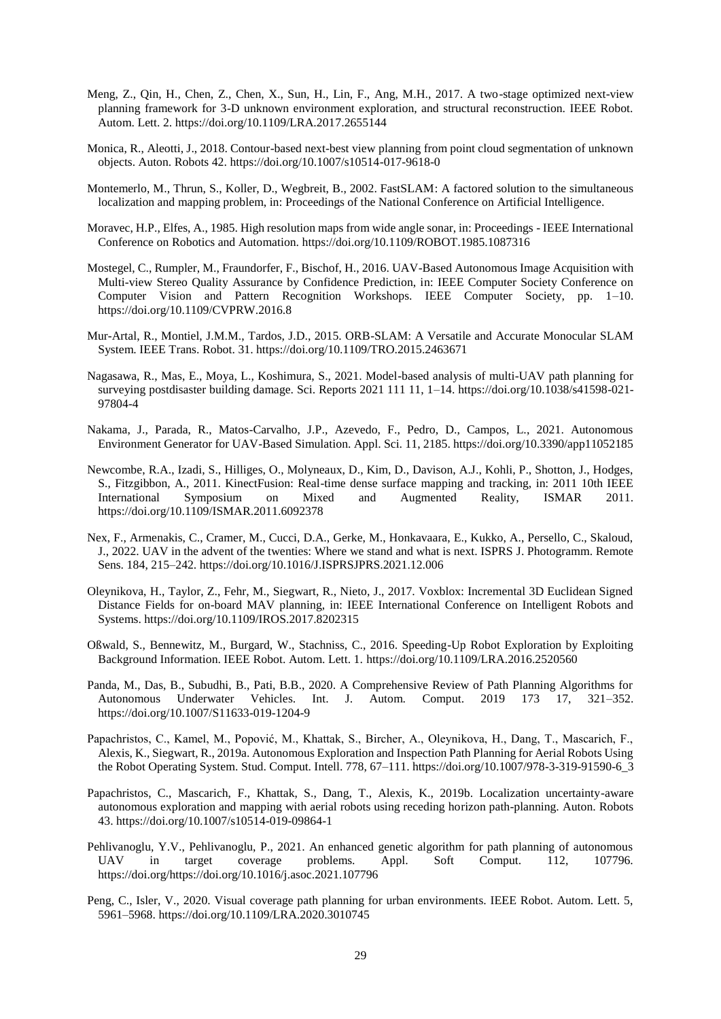- Meng, Z., Qin, H., Chen, Z., Chen, X., Sun, H., Lin, F., Ang, M.H., 2017. A two-stage optimized next-view planning framework for 3-D unknown environment exploration, and structural reconstruction. IEEE Robot. Autom. Lett. 2. https://doi.org/10.1109/LRA.2017.2655144
- Monica, R., Aleotti, J., 2018. Contour-based next-best view planning from point cloud segmentation of unknown objects. Auton. Robots 42. https://doi.org/10.1007/s10514-017-9618-0
- Montemerlo, M., Thrun, S., Koller, D., Wegbreit, B., 2002. FastSLAM: A factored solution to the simultaneous localization and mapping problem, in: Proceedings of the National Conference on Artificial Intelligence.
- Moravec, H.P., Elfes, A., 1985. High resolution maps from wide angle sonar, in: Proceedings IEEE International Conference on Robotics and Automation. https://doi.org/10.1109/ROBOT.1985.1087316
- Mostegel, C., Rumpler, M., Fraundorfer, F., Bischof, H., 2016. UAV-Based Autonomous Image Acquisition with Multi-view Stereo Quality Assurance by Confidence Prediction, in: IEEE Computer Society Conference on Computer Vision and Pattern Recognition Workshops. IEEE Computer Society, pp. 1–10. https://doi.org/10.1109/CVPRW.2016.8
- Mur-Artal, R., Montiel, J.M.M., Tardos, J.D., 2015. ORB-SLAM: A Versatile and Accurate Monocular SLAM System. IEEE Trans. Robot. 31. https://doi.org/10.1109/TRO.2015.2463671
- Nagasawa, R., Mas, E., Moya, L., Koshimura, S., 2021. Model-based analysis of multi-UAV path planning for surveying postdisaster building damage. Sci. Reports 2021 111 11, 1–14. https://doi.org/10.1038/s41598-021- 97804-4
- Nakama, J., Parada, R., Matos-Carvalho, J.P., Azevedo, F., Pedro, D., Campos, L., 2021. Autonomous Environment Generator for UAV-Based Simulation. Appl. Sci. 11, 2185. https://doi.org/10.3390/app11052185
- Newcombe, R.A., Izadi, S., Hilliges, O., Molyneaux, D., Kim, D., Davison, A.J., Kohli, P., Shotton, J., Hodges, S., Fitzgibbon, A., 2011. KinectFusion: Real-time dense surface mapping and tracking, in: 2011 10th IEEE International Symposium on Mixed and Augmented Reality, ISMAR 2011. https://doi.org/10.1109/ISMAR.2011.6092378
- Nex, F., Armenakis, C., Cramer, M., Cucci, D.A., Gerke, M., Honkavaara, E., Kukko, A., Persello, C., Skaloud, J., 2022. UAV in the advent of the twenties: Where we stand and what is next. ISPRS J. Photogramm. Remote Sens. 184, 215–242. https://doi.org/10.1016/J.ISPRSJPRS.2021.12.006
- Oleynikova, H., Taylor, Z., Fehr, M., Siegwart, R., Nieto, J., 2017. Voxblox: Incremental 3D Euclidean Signed Distance Fields for on-board MAV planning, in: IEEE International Conference on Intelligent Robots and Systems. https://doi.org/10.1109/IROS.2017.8202315
- Oßwald, S., Bennewitz, M., Burgard, W., Stachniss, C., 2016. Speeding-Up Robot Exploration by Exploiting Background Information. IEEE Robot. Autom. Lett. 1. https://doi.org/10.1109/LRA.2016.2520560
- Panda, M., Das, B., Subudhi, B., Pati, B.B., 2020. A Comprehensive Review of Path Planning Algorithms for Autonomous Underwater Vehicles. Int. J. Autom. Comput. 2019 173 17, 321–352. https://doi.org/10.1007/S11633-019-1204-9
- Papachristos, C., Kamel, M., Popović, M., Khattak, S., Bircher, A., Oleynikova, H., Dang, T., Mascarich, F., Alexis, K., Siegwart, R., 2019a. Autonomous Exploration and Inspection Path Planning for Aerial Robots Using the Robot Operating System. Stud. Comput. Intell. 778, 67–111. https://doi.org/10.1007/978-3-319-91590-6\_3
- Papachristos, C., Mascarich, F., Khattak, S., Dang, T., Alexis, K., 2019b. Localization uncertainty-aware autonomous exploration and mapping with aerial robots using receding horizon path-planning. Auton. Robots 43. https://doi.org/10.1007/s10514-019-09864-1
- Pehlivanoglu, Y.V., Pehlivanoglu, P., 2021. An enhanced genetic algorithm for path planning of autonomous UAV in target coverage problems. Appl. Soft Comput. 112, 107796. https://doi.org/https://doi.org/10.1016/j.asoc.2021.107796
- Peng, C., Isler, V., 2020. Visual coverage path planning for urban environments. IEEE Robot. Autom. Lett. 5, 5961–5968. https://doi.org/10.1109/LRA.2020.3010745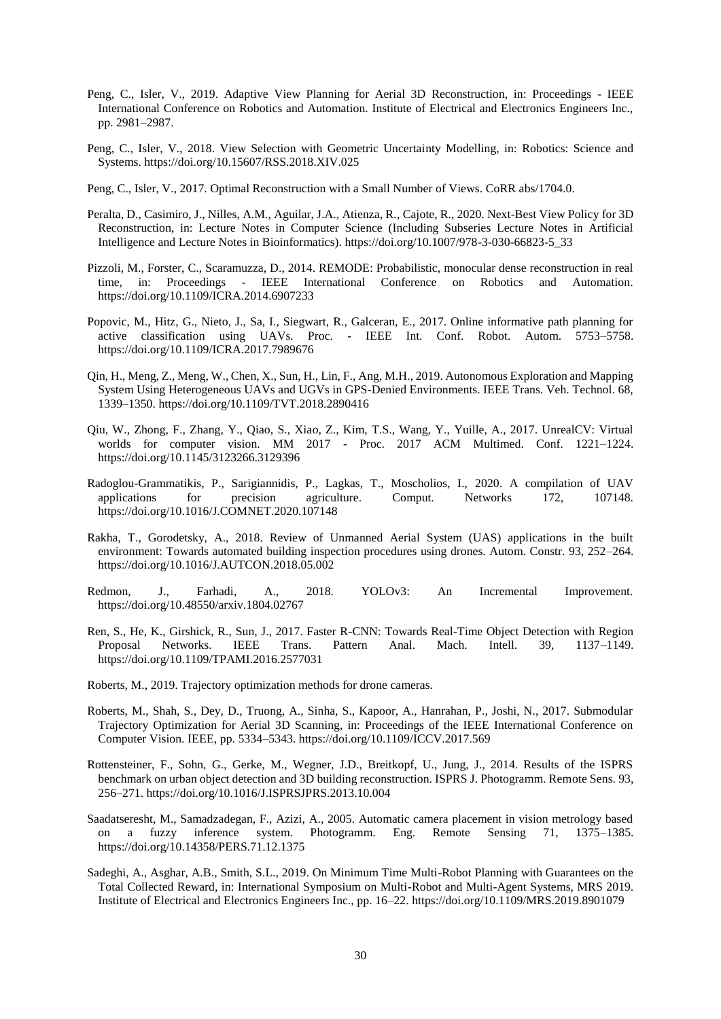- Peng, C., Isler, V., 2019. Adaptive View Planning for Aerial 3D Reconstruction, in: Proceedings IEEE International Conference on Robotics and Automation. Institute of Electrical and Electronics Engineers Inc., pp. 2981–2987.
- Peng, C., Isler, V., 2018. View Selection with Geometric Uncertainty Modelling, in: Robotics: Science and Systems. https://doi.org/10.15607/RSS.2018.XIV.025
- Peng, C., Isler, V., 2017. Optimal Reconstruction with a Small Number of Views. CoRR abs/1704.0.
- Peralta, D., Casimiro, J., Nilles, A.M., Aguilar, J.A., Atienza, R., Cajote, R., 2020. Next-Best View Policy for 3D Reconstruction, in: Lecture Notes in Computer Science (Including Subseries Lecture Notes in Artificial Intelligence and Lecture Notes in Bioinformatics). https://doi.org/10.1007/978-3-030-66823-5\_33
- Pizzoli, M., Forster, C., Scaramuzza, D., 2014. REMODE: Probabilistic, monocular dense reconstruction in real time, in: Proceedings - IEEE International Conference on Robotics and Automation. https://doi.org/10.1109/ICRA.2014.6907233
- Popovic, M., Hitz, G., Nieto, J., Sa, I., Siegwart, R., Galceran, E., 2017. Online informative path planning for active classification using UAVs. Proc. - IEEE Int. Conf. Robot. Autom. 5753–5758. https://doi.org/10.1109/ICRA.2017.7989676
- Qin, H., Meng, Z., Meng, W., Chen, X., Sun, H., Lin, F., Ang, M.H., 2019. Autonomous Exploration and Mapping System Using Heterogeneous UAVs and UGVs in GPS-Denied Environments. IEEE Trans. Veh. Technol. 68, 1339–1350. https://doi.org/10.1109/TVT.2018.2890416
- Qiu, W., Zhong, F., Zhang, Y., Qiao, S., Xiao, Z., Kim, T.S., Wang, Y., Yuille, A., 2017. UnrealCV: Virtual worlds for computer vision. MM 2017 - Proc. 2017 ACM Multimed. Conf. 1221–1224. https://doi.org/10.1145/3123266.3129396
- Radoglou-Grammatikis, P., Sarigiannidis, P., Lagkas, T., Moscholios, I., 2020. A compilation of UAV applications for precision agriculture. Comput. Networks 172, 107148. https://doi.org/10.1016/J.COMNET.2020.107148
- Rakha, T., Gorodetsky, A., 2018. Review of Unmanned Aerial System (UAS) applications in the built environment: Towards automated building inspection procedures using drones. Autom. Constr. 93, 252–264. https://doi.org/10.1016/J.AUTCON.2018.05.002
- Redmon, J., Farhadi, A., 2018. YOLOv3: An Incremental Improvement. https://doi.org/10.48550/arxiv.1804.02767
- Ren, S., He, K., Girshick, R., Sun, J., 2017. Faster R-CNN: Towards Real-Time Object Detection with Region Proposal Networks. IEEE Trans. Pattern Anal. Mach. Intell. 39, 1137–1149. https://doi.org/10.1109/TPAMI.2016.2577031
- Roberts, M., 2019. Trajectory optimization methods for drone cameras.
- Roberts, M., Shah, S., Dey, D., Truong, A., Sinha, S., Kapoor, A., Hanrahan, P., Joshi, N., 2017. Submodular Trajectory Optimization for Aerial 3D Scanning, in: Proceedings of the IEEE International Conference on Computer Vision. IEEE, pp. 5334–5343. https://doi.org/10.1109/ICCV.2017.569
- Rottensteiner, F., Sohn, G., Gerke, M., Wegner, J.D., Breitkopf, U., Jung, J., 2014. Results of the ISPRS benchmark on urban object detection and 3D building reconstruction. ISPRS J. Photogramm. Remote Sens. 93, 256–271. https://doi.org/10.1016/J.ISPRSJPRS.2013.10.004
- Saadatseresht, M., Samadzadegan, F., Azizi, A., 2005. Automatic camera placement in vision metrology based on a fuzzy inference system. Photogramm. Eng. Remote Sensing 71, 1375–1385. https://doi.org/10.14358/PERS.71.12.1375
- Sadeghi, A., Asghar, A.B., Smith, S.L., 2019. On Minimum Time Multi-Robot Planning with Guarantees on the Total Collected Reward, in: International Symposium on Multi-Robot and Multi-Agent Systems, MRS 2019. Institute of Electrical and Electronics Engineers Inc., pp. 16–22. https://doi.org/10.1109/MRS.2019.8901079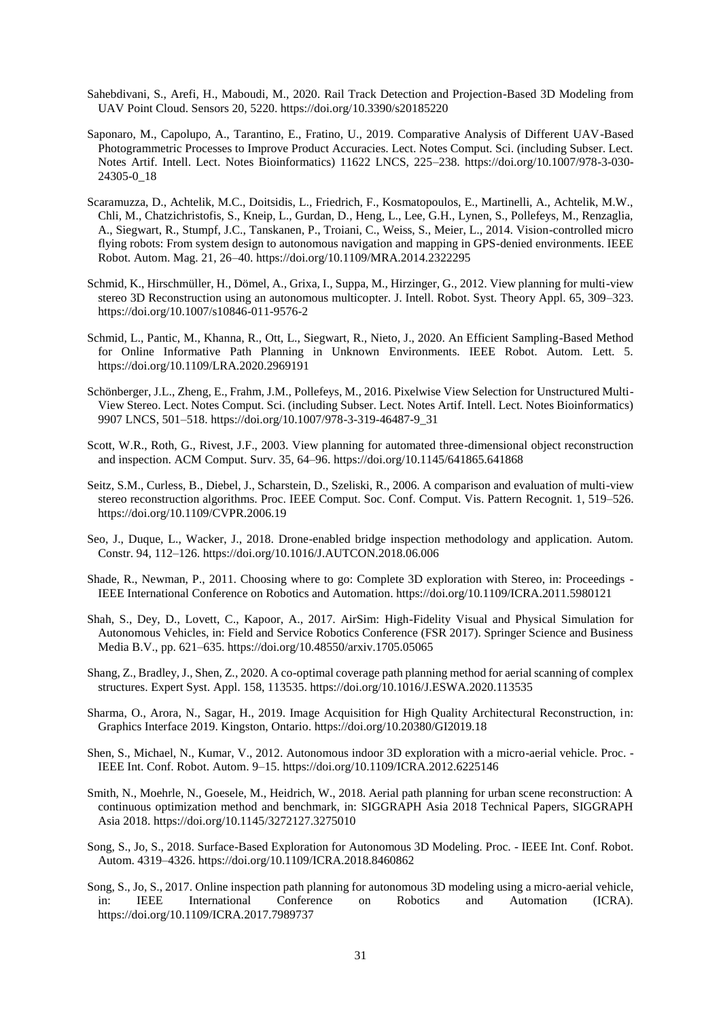- Sahebdivani, S., Arefi, H., Maboudi, M., 2020. Rail Track Detection and Projection-Based 3D Modeling from UAV Point Cloud. Sensors 20, 5220. https://doi.org/10.3390/s20185220
- Saponaro, M., Capolupo, A., Tarantino, E., Fratino, U., 2019. Comparative Analysis of Different UAV-Based Photogrammetric Processes to Improve Product Accuracies. Lect. Notes Comput. Sci. (including Subser. Lect. Notes Artif. Intell. Lect. Notes Bioinformatics) 11622 LNCS, 225–238. https://doi.org/10.1007/978-3-030- 24305-0\_18
- Scaramuzza, D., Achtelik, M.C., Doitsidis, L., Friedrich, F., Kosmatopoulos, E., Martinelli, A., Achtelik, M.W., Chli, M., Chatzichristofis, S., Kneip, L., Gurdan, D., Heng, L., Lee, G.H., Lynen, S., Pollefeys, M., Renzaglia, A., Siegwart, R., Stumpf, J.C., Tanskanen, P., Troiani, C., Weiss, S., Meier, L., 2014. Vision-controlled micro flying robots: From system design to autonomous navigation and mapping in GPS-denied environments. IEEE Robot. Autom. Mag. 21, 26–40. https://doi.org/10.1109/MRA.2014.2322295
- Schmid, K., Hirschmüller, H., Dömel, A., Grixa, I., Suppa, M., Hirzinger, G., 2012. View planning for multi-view stereo 3D Reconstruction using an autonomous multicopter. J. Intell. Robot. Syst. Theory Appl. 65, 309–323. https://doi.org/10.1007/s10846-011-9576-2
- Schmid, L., Pantic, M., Khanna, R., Ott, L., Siegwart, R., Nieto, J., 2020. An Efficient Sampling-Based Method for Online Informative Path Planning in Unknown Environments. IEEE Robot. Autom. Lett. 5. https://doi.org/10.1109/LRA.2020.2969191
- Schönberger, J.L., Zheng, E., Frahm, J.M., Pollefeys, M., 2016. Pixelwise View Selection for Unstructured Multi-View Stereo. Lect. Notes Comput. Sci. (including Subser. Lect. Notes Artif. Intell. Lect. Notes Bioinformatics) 9907 LNCS, 501–518. https://doi.org/10.1007/978-3-319-46487-9\_31
- Scott, W.R., Roth, G., Rivest, J.F., 2003. View planning for automated three-dimensional object reconstruction and inspection. ACM Comput. Surv. 35, 64–96. https://doi.org/10.1145/641865.641868
- Seitz, S.M., Curless, B., Diebel, J., Scharstein, D., Szeliski, R., 2006. A comparison and evaluation of multi-view stereo reconstruction algorithms. Proc. IEEE Comput. Soc. Conf. Comput. Vis. Pattern Recognit. 1, 519–526. https://doi.org/10.1109/CVPR.2006.19
- Seo, J., Duque, L., Wacker, J., 2018. Drone-enabled bridge inspection methodology and application. Autom. Constr. 94, 112–126. https://doi.org/10.1016/J.AUTCON.2018.06.006
- Shade, R., Newman, P., 2011. Choosing where to go: Complete 3D exploration with Stereo, in: Proceedings IEEE International Conference on Robotics and Automation. https://doi.org/10.1109/ICRA.2011.5980121
- Shah, S., Dey, D., Lovett, C., Kapoor, A., 2017. AirSim: High-Fidelity Visual and Physical Simulation for Autonomous Vehicles, in: Field and Service Robotics Conference (FSR 2017). Springer Science and Business Media B.V., pp. 621–635. https://doi.org/10.48550/arxiv.1705.05065
- Shang, Z., Bradley, J., Shen, Z., 2020. A co-optimal coverage path planning method for aerial scanning of complex structures. Expert Syst. Appl. 158, 113535. https://doi.org/10.1016/J.ESWA.2020.113535
- Sharma, O., Arora, N., Sagar, H., 2019. Image Acquisition for High Quality Architectural Reconstruction, in: Graphics Interface 2019. Kingston, Ontario. https://doi.org/10.20380/GI2019.18
- Shen, S., Michael, N., Kumar, V., 2012. Autonomous indoor 3D exploration with a micro-aerial vehicle. Proc. IEEE Int. Conf. Robot. Autom. 9–15. https://doi.org/10.1109/ICRA.2012.6225146
- Smith, N., Moehrle, N., Goesele, M., Heidrich, W., 2018. Aerial path planning for urban scene reconstruction: A continuous optimization method and benchmark, in: SIGGRAPH Asia 2018 Technical Papers, SIGGRAPH Asia 2018. https://doi.org/10.1145/3272127.3275010
- Song, S., Jo, S., 2018. Surface-Based Exploration for Autonomous 3D Modeling. Proc. IEEE Int. Conf. Robot. Autom. 4319–4326. https://doi.org/10.1109/ICRA.2018.8460862
- Song, S., Jo, S., 2017. Online inspection path planning for autonomous 3D modeling using a micro-aerial vehicle, in: IEEE International Conference on Robotics and Automation (ICRA). https://doi.org/10.1109/ICRA.2017.7989737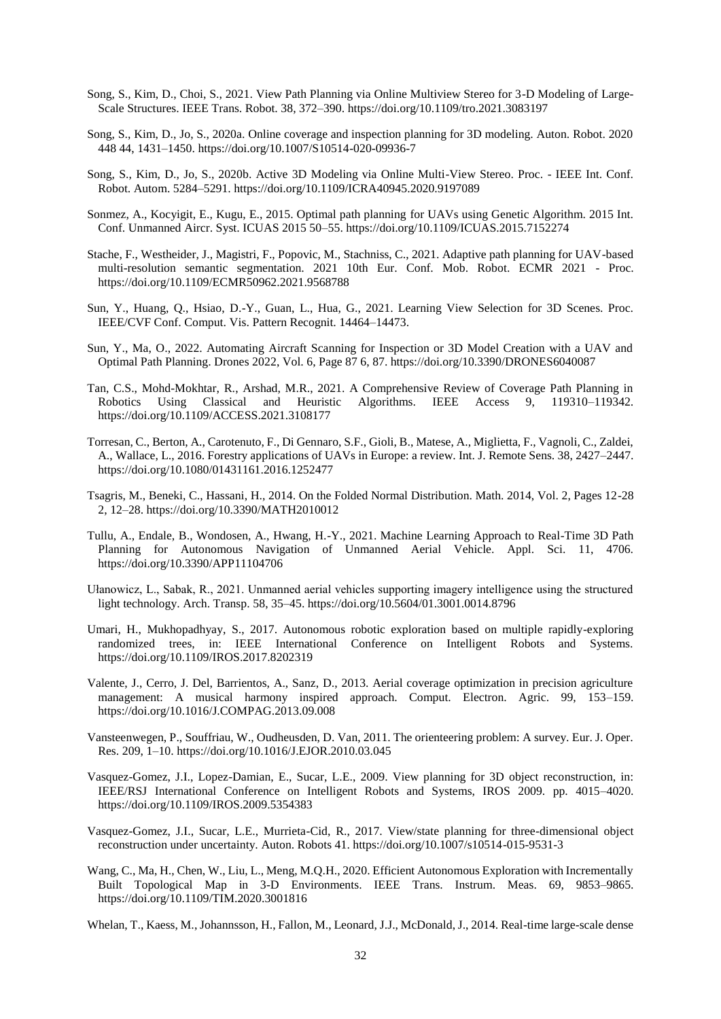- Song, S., Kim, D., Choi, S., 2021. View Path Planning via Online Multiview Stereo for 3-D Modeling of Large-Scale Structures. IEEE Trans. Robot. 38, 372–390. https://doi.org/10.1109/tro.2021.3083197
- Song, S., Kim, D., Jo, S., 2020a. Online coverage and inspection planning for 3D modeling. Auton. Robot. 2020 448 44, 1431–1450. https://doi.org/10.1007/S10514-020-09936-7
- Song, S., Kim, D., Jo, S., 2020b. Active 3D Modeling via Online Multi-View Stereo. Proc. IEEE Int. Conf. Robot. Autom. 5284–5291. https://doi.org/10.1109/ICRA40945.2020.9197089
- Sonmez, A., Kocyigit, E., Kugu, E., 2015. Optimal path planning for UAVs using Genetic Algorithm. 2015 Int. Conf. Unmanned Aircr. Syst. ICUAS 2015 50–55. https://doi.org/10.1109/ICUAS.2015.7152274
- Stache, F., Westheider, J., Magistri, F., Popovic, M., Stachniss, C., 2021. Adaptive path planning for UAV-based multi-resolution semantic segmentation. 2021 10th Eur. Conf. Mob. Robot. ECMR 2021 - Proc. https://doi.org/10.1109/ECMR50962.2021.9568788
- Sun, Y., Huang, Q., Hsiao, D.-Y., Guan, L., Hua, G., 2021. Learning View Selection for 3D Scenes. Proc. IEEE/CVF Conf. Comput. Vis. Pattern Recognit. 14464–14473.
- Sun, Y., Ma, O., 2022. Automating Aircraft Scanning for Inspection or 3D Model Creation with a UAV and Optimal Path Planning. Drones 2022, Vol. 6, Page 87 6, 87. https://doi.org/10.3390/DRONES6040087
- Tan, C.S., Mohd-Mokhtar, R., Arshad, M.R., 2021. A Comprehensive Review of Coverage Path Planning in Robotics Using Classical and Heuristic Algorithms. IEEE Access 9, 119310–119342. https://doi.org/10.1109/ACCESS.2021.3108177
- Torresan, C., Berton, A., Carotenuto, F., Di Gennaro, S.F., Gioli, B., Matese, A., Miglietta, F., Vagnoli, C., Zaldei, A., Wallace, L., 2016. Forestry applications of UAVs in Europe: a review. Int. J. Remote Sens. 38, 2427–2447. https://doi.org/10.1080/01431161.2016.1252477
- Tsagris, M., Beneki, C., Hassani, H., 2014. On the Folded Normal Distribution. Math. 2014, Vol. 2, Pages 12-28 2, 12–28. https://doi.org/10.3390/MATH2010012
- Tullu, A., Endale, B., Wondosen, A., Hwang, H.-Y., 2021. Machine Learning Approach to Real-Time 3D Path Planning for Autonomous Navigation of Unmanned Aerial Vehicle. Appl. Sci. 11, 4706. https://doi.org/10.3390/APP11104706
- Ułanowicz, L., Sabak, R., 2021. Unmanned aerial vehicles supporting imagery intelligence using the structured light technology. Arch. Transp. 58, 35–45. https://doi.org/10.5604/01.3001.0014.8796
- Umari, H., Mukhopadhyay, S., 2017. Autonomous robotic exploration based on multiple rapidly-exploring randomized trees, in: IEEE International Conference on Intelligent Robots and Systems. https://doi.org/10.1109/IROS.2017.8202319
- Valente, J., Cerro, J. Del, Barrientos, A., Sanz, D., 2013. Aerial coverage optimization in precision agriculture management: A musical harmony inspired approach. Comput. Electron. Agric. 99, 153–159. https://doi.org/10.1016/J.COMPAG.2013.09.008
- Vansteenwegen, P., Souffriau, W., Oudheusden, D. Van, 2011. The orienteering problem: A survey. Eur. J. Oper. Res. 209, 1–10. https://doi.org/10.1016/J.EJOR.2010.03.045
- Vasquez-Gomez, J.I., Lopez-Damian, E., Sucar, L.E., 2009. View planning for 3D object reconstruction, in: IEEE/RSJ International Conference on Intelligent Robots and Systems, IROS 2009. pp. 4015–4020. https://doi.org/10.1109/IROS.2009.5354383
- Vasquez-Gomez, J.I., Sucar, L.E., Murrieta-Cid, R., 2017. View/state planning for three-dimensional object reconstruction under uncertainty. Auton. Robots 41. https://doi.org/10.1007/s10514-015-9531-3
- Wang, C., Ma, H., Chen, W., Liu, L., Meng, M.Q.H., 2020. Efficient Autonomous Exploration with Incrementally Built Topological Map in 3-D Environments. IEEE Trans. Instrum. Meas. 69, 9853–9865. https://doi.org/10.1109/TIM.2020.3001816
- Whelan, T., Kaess, M., Johannsson, H., Fallon, M., Leonard, J.J., McDonald, J., 2014. Real-time large-scale dense